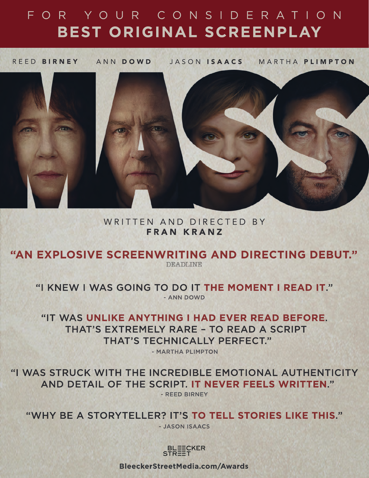# FOR YOUR CONSIDERATION BEST ORIGINAL SCREENPLAY

REED BIRNEY ANN DOWD JASON ISAACS MARTHA PLIMPTON



# WRITTEN AND DIRECTED BY **FRAN KRANZ**

"AN EXPLOSIVE SCREENWRITING AND DIRECTING DEBUT."

**DEADLINE** 

"I KNEW I WAS GOING TO DO IT THE MOMENT I READ IT." - ANN DOWD

"IT WAS UNLIKE ANYTHING I HAD EVER READ BEFORE. THAT'S EXTREMELY RARE - TO READ A SCRIPT THAT'S TECHNICALLY PERFECT."

- MARTHA PLIMPTON

"I WAS STRUCK WITH THE INCREDIBLE EMOTIONAL AUTHENTICITY AND DETAIL OF THE SCRIPT. IT NEVER FEELS WRITTEN."

- REED BIRNEY

"WHY BE A STORYTELLER? IT'S TO TELL STORIES LIKE THIS."

- JASON ISAACS



**BleeckerStreetMedia.com/Awards**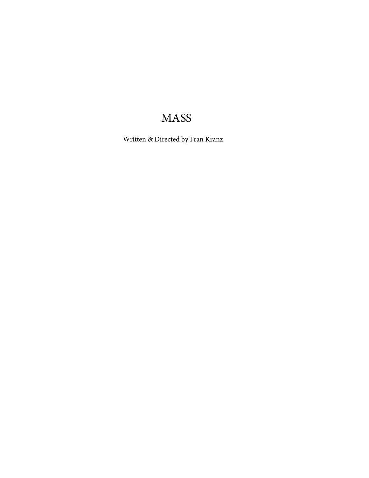# MASS

Written & Directed by Fran Kranz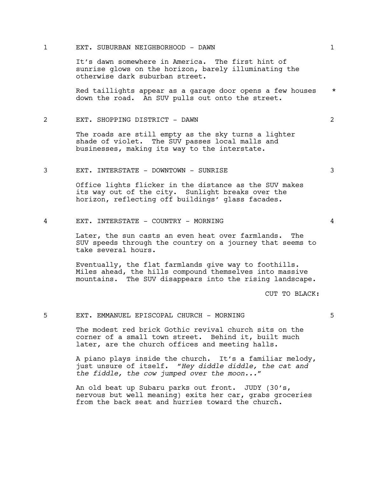# 1 EXT. SUBURBAN NEIGHBORHOOD - DAWN 1

It's dawn somewhere in America. The first hint of sunrise glows on the horizon, barely illuminating the otherwise dark suburban street.

Red taillights appear as a garage door opens a few houses \* down the road. An SUV pulls out onto the street.

# 2 EXT. SHOPPING DISTRICT - DAWN 2

The roads are still empty as the sky turns a lighter shade of violet. The SUV passes local malls and businesses, making its way to the interstate.

# 3 EXT. INTERSTATE - DOWNTOWN - SUNRISE 3

Office lights flicker in the distance as the SUV makes its way out of the city. Sunlight breaks over the horizon, reflecting off buildings' glass facades.

# 4 EXT. INTERSTATE - COUNTRY - MORNING 4

Later, the sun casts an even heat over farmlands. The SUV speeds through the country on a journey that seems to take several hours.

Eventually, the flat farmlands give way to foothills. Miles ahead, the hills compound themselves into massive mountains. The SUV disappears into the rising landscape.

CUT TO BLACK:

# 5 EXT. EMMANUEL EPISCOPAL CHURCH - MORNING 5

The modest red brick Gothic revival church sits on the corner of a small town street. Behind it, built much later, are the church offices and meeting halls.

A piano plays inside the church. It's a familiar melody, just unsure of itself. "*Hey diddle diddle, the cat and the fiddle, the cow jumped over the moon...*"

An old beat up Subaru parks out front. JUDY (30's, nervous but well meaning) exits her car, grabs groceries from the back seat and hurries toward the church.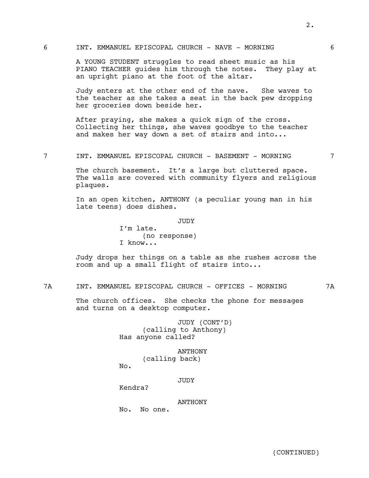# 6 INT. EMMANUEL EPISCOPAL CHURCH - NAVE - MORNING 6

A YOUNG STUDENT struggles to read sheet music as his PIANO TEACHER guides him through the notes. They play at an upright piano at the foot of the altar.

Judy enters at the other end of the nave. She waves to the teacher as she takes a seat in the back pew dropping her groceries down beside her.

After praying, she makes a quick sign of the cross. Collecting her things, she waves goodbye to the teacher and makes her way down a set of stairs and into...

7 INT. EMMANUEL EPISCOPAL CHURCH - BASEMENT - MORNING 7

The church basement. It's a large but cluttered space. The walls are covered with community flyers and religious plaques.

In an open kitchen, ANTHONY (a peculiar young man in his late teens) does dishes.

JUDY

I'm late. (no response) I know...

Judy drops her things on a table as she rushes across the room and up a small flight of stairs into...

7A INT. EMMANUEL EPISCOPAL CHURCH - OFFICES - MORNING 7A

The church offices. She checks the phone for messages and turns on a desktop computer.

> JUDY (CONT'D) (calling to Anthony) Has anyone called?

ANTHONY (calling back) No.

JUDY

Kendra?

ANTHONY

No. No one.

(CONTINUED)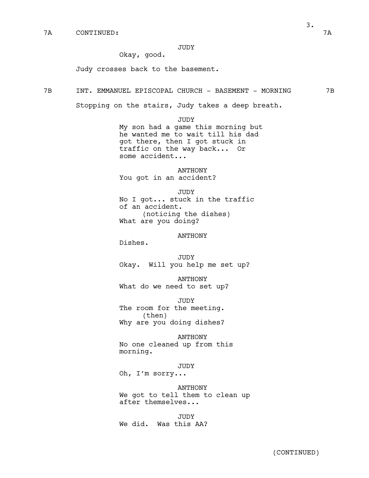JUDY

Okay, good.

Judy crosses back to the basement.

7B INT. EMMANUEL EPISCOPAL CHURCH - BASEMENT - MORNING 7B

Stopping on the stairs, Judy takes a deep breath.

JUDY My son had a game this morning but he wanted me to wait till his dad got there, then I got stuck in

traffic on the way back... Or some accident...

ANTHONY You got in an accident?

JUDY No I got... stuck in the traffic of an accident. (noticing the dishes) What are you doing?

# ANTHONY

Dishes.

**JUDY** Okay. Will you help me set up?

ANTHONY What do we need to set up?

JUDY The room for the meeting. (then) Why are you doing dishes?

ANTHONY No one cleaned up from this morning.

JUDY

Oh, I'm sorry...

ANTHONY We got to tell them to clean up after themselves...

**JUDY** We did. Was this AA?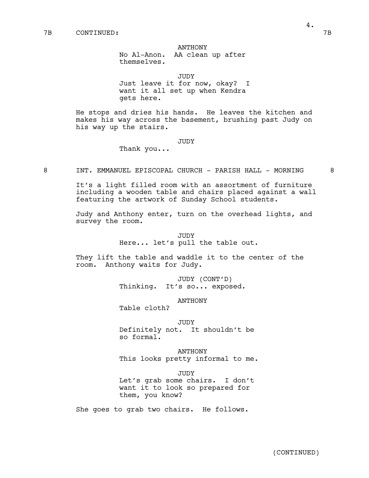#### ANTHONY

No Al-Anon. AA clean up after themselves.

JUDY

Just leave it for now, okay? I want it all set up when Kendra gets here.

He stops and dries his hands. He leaves the kitchen and makes his way across the basement, brushing past Judy on his way up the stairs.

# JUDY

Thank you...

8 INT. EMMANUEL EPISCOPAL CHURCH - PARISH HALL - MORNING 8

It's a light filled room with an assortment of furniture including a wooden table and chairs placed against a wall featuring the artwork of Sunday School students.

Judy and Anthony enter, turn on the overhead lights, and survey the room.

> JUDY Here... let's pull the table out.

They lift the table and waddle it to the center of the room. Anthony waits for Judy.

> JUDY (CONT'D) Thinking. It's so... exposed.

> > ANTHONY

Table cloth?

JUDY Definitely not. It shouldn't be so formal.

ANTHONY This looks pretty informal to me.

**JUDY** Let's grab some chairs. I don't want it to look so prepared for them, you know?

She goes to grab two chairs. He follows.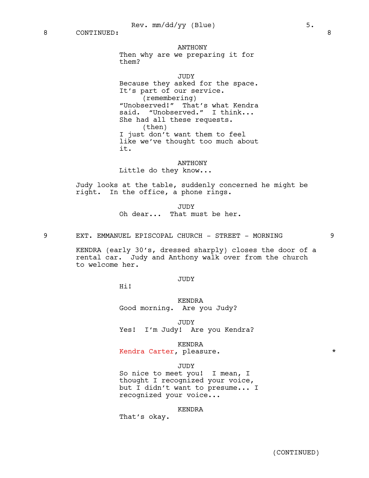#### ANTHONY

Then why are we preparing it for them?

JUDY

Because they asked for the space. It's part of our service. (remembering) "Unobserved!" That's what Kendra said. "Unobserved." I think... She had all these requests. (then) I just don't want them to feel like we've thought too much about it.

ANTHONY Little do they know...

Judy looks at the table, suddenly concerned he might be right. In the office, a phone rings.

> JUDY Oh dear... That must be her.

9 EXT. EMMANUEL EPISCOPAL CHURCH - STREET - MORNING 9

KENDRA (early 30's, dressed sharply) closes the door of a rental car. Judy and Anthony walk over from the church to welcome her.

# JUDY

Hi!

KENDRA Good morning. Are you Judy?

JUDY

Yes! I'm Judy! Are you Kendra?

KENDRA

Kendra Carter, pleasure.

#### JUDY

So nice to meet you! I mean, I thought I recognized your voice, but I didn't want to presume... I recognized your voice...

#### KENDRA

That's okay.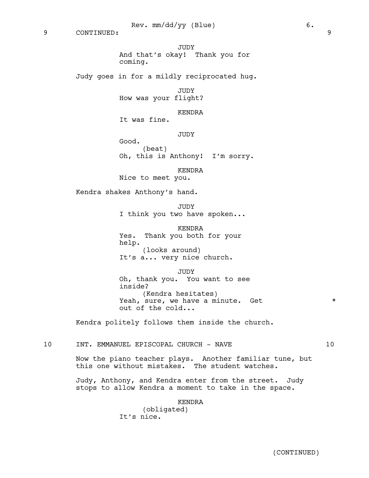9 CONTINUED: 9

# JUDY And that's okay! Thank you for coming.

Judy goes in for a mildly reciprocated hug.

JUDY

How was your flight?

KENDRA

It was fine.

**JUDY** 

Good. (beat)

Oh, this is Anthony! I'm sorry.

KENDRA

Nice to meet you.

Kendra shakes Anthony's hand.

JUDY I think you two have spoken...

KENDRA Yes. Thank you both for your help. (looks around) It's a... very nice church.

JUDY

Oh, thank you. You want to see inside? (Kendra hesitates) Yeah, sure, we have a minute. Get  $*$ out of the cold...

Kendra politely follows them inside the church.

10 INT. EMMANUEL EPISCOPAL CHURCH - NAVE 10

Now the piano teacher plays. Another familiar tune, but this one without mistakes. The student watches.

Judy, Anthony, and Kendra enter from the street. Judy stops to allow Kendra a moment to take in the space.

KENDRA

(obligated) It's nice.

(CONTINUED)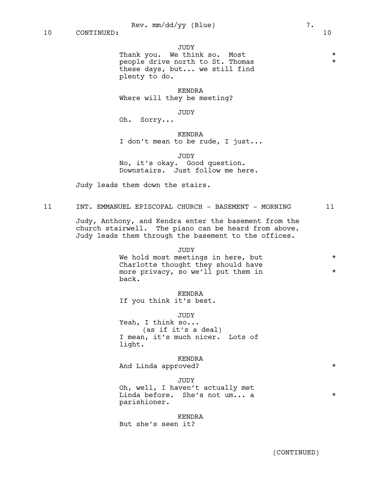# JUDY

Thank you. We think so. Most  $*$ people drive north to St. Thomas \*\*\* these days, but... we still find plenty to do.

KENDRA Where will they be meeting?

JUDY

Oh. Sorry...

#### KENDRA

I don't mean to be rude, I just...

JUDY

No, it's okay. Good question. Downstairs. Just follow me here.

Judy leads them down the stairs.

11 INT. EMMANUEL EPISCOPAL CHURCH - BASEMENT - MORNING 11

Judy, Anthony, and Kendra enter the basement from the church stairwell. The piano can be heard from above. Judy leads them through the basement to the offices.

JUDY

We hold most meetings in here, but \* Charlotte thought they should have more privacy, so we'll put them in  $*$ back.

KENDRA If you think it's best.

JUDY

Yeah, I think so... (as if it's a deal) I mean, it's much nicer. Lots of light.

# KENDRA

And Linda approved?  $*$ 

#### JUDY

Oh, well, I haven't actually met Linda before. She's not um... a \* parishioner.

#### KENDRA

But she's seen it?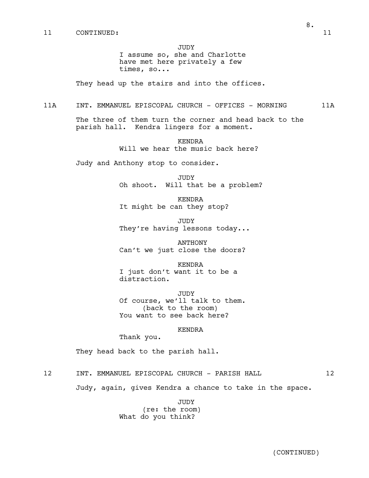JUDY

I assume so, she and Charlotte have met here privately a few times, so...

They head up the stairs and into the offices.

# 11A INT. EMMANUEL EPISCOPAL CHURCH - OFFICES - MORNING 11A

The three of them turn the corner and head back to the parish hall. Kendra lingers for a moment.

> KENDRA Will we hear the music back here?

Judy and Anthony stop to consider.

JUDY Oh shoot. Will that be a problem?

KENDRA It might be can they stop?

JUDY They're having lessons today...

ANTHONY Can't we just close the doors?

KENDRA I just don't want it to be a distraction.

JUDY Of course, we'll talk to them. (back to the room) You want to see back here?

# KENDRA

Thank you.

They head back to the parish hall.

12 INT. EMMANUEL EPISCOPAL CHURCH - PARISH HALL 12

Judy, again, gives Kendra a chance to take in the space.

JUDY (re: the room) What do you think?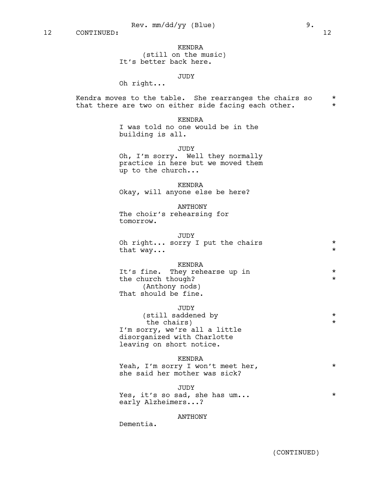KENDRA (still on the music) It's better back here.

# JUDY

Oh right...

Kendra moves to the table. She rearranges the chairs so \* that there are two on either side facing each other.  $*$ 

KENDRA

I was told no one would be in the building is all.

# JUDY

Oh, I'm sorry. Well they normally practice in here but we moved them up to the church...

#### KENDRA

Okay, will anyone else be here?

#### ANTHONY

The choir's rehearsing for tomorrow.

# JUDY

| Oh right sorry I put the chairs |  |  |  |  |
|---------------------------------|--|--|--|--|
| that $way$                      |  |  |  |  |

#### KENDRA

| It's fine. They rehearse up in | $\star$ |
|--------------------------------|---------|
| the church though?             | $\star$ |
| (Anthony nods)                 |         |
| That should be fine.           |         |

(still saddened by \* the chairs)  $*$ I'm sorry, we're all a little disorganized with Charlotte leaving on short notice.

#### KENDRA

Yeah, I'm sorry I won't meet her,  $*$ she said her mother was sick?

#### JUDY

Yes, it's so sad, she has um...  $*$ early Alzheimers...?

# ANTHONY

Dementia.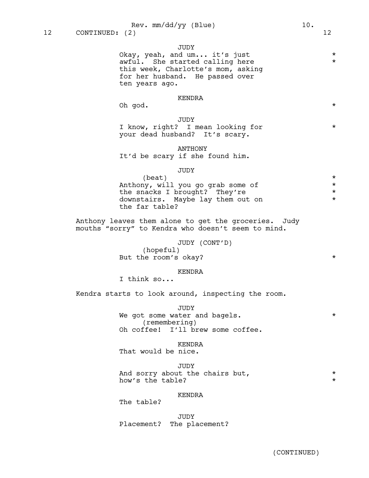JUDY

Okay, yeah, and um... it's just \* awful. She started calling here  $*$ this week, Charlotte's mom, asking for her husband. He passed over ten years ago.

# KENDRA

Oh god.  $\star$ 

#### JUDY

I know, right? I mean looking for \* your dead husband? It's scary.

#### ANTHONY

It'd be scary if she found him.

# JUDY

 $\star$ Anthony, will you go grab some of  $*$ the snacks I brought? They're \* downstairs. Maybe lay them out on  $*$ the far table?

Anthony leaves them alone to get the groceries. Judy mouths "sorry" to Kendra who doesn't seem to mind.

# JUDY (CONT'D)

(hopeful) But the room's okay?

# KENDRA

I think so...

Kendra starts to look around, inspecting the room.

JUDY

We got some water and bagels.  $*$ (remembering) Oh coffee! I'll brew some coffee.

#### KENDRA

That would be nice.

#### JUDY

And sorry about the chairs but,  $*$ how's the table?

# KENDRA

The table?

JUDY Placement? The placement?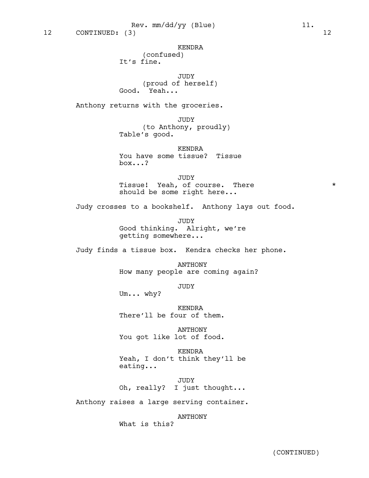KENDRA

(confused) It's fine.

JUDY (proud of herself) Good. Yeah...

Anthony returns with the groceries.

JUDY (to Anthony, proudly) Table's good.

KENDRA You have some tissue? Tissue box...?

JUDY Tissue! Yeah, of course. There  $*$ should be some right here...

Judy crosses to a bookshelf. Anthony lays out food.

JUDY Good thinking. Alright, we're getting somewhere...

Judy finds a tissue box. Kendra checks her phone.

ANTHONY How many people are coming again?

JUDY

Um... why?

KENDRA There'll be four of them.

ANTHONY You got like lot of food.

KENDRA Yeah, I don't think they'll be eating...

JUDY Oh, really? I just thought...

Anthony raises a large serving container.

ANTHONY

What is this?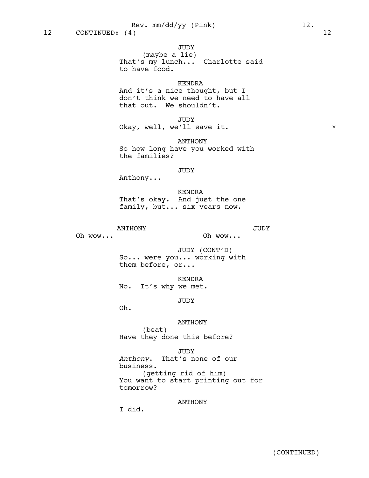JUDY

(maybe a lie) That's my lunch... Charlotte said to have food.

# KENDRA

And it's a nice thought, but I don't think we need to have all that out. We shouldn't.

JUDY Okay, well, we'll save it. \*

ANTHONY So how long have you worked with the families?

# JUDY

Anthony...

KENDRA That's okay. And just the one family, but... six years now.

ANTHONY

Oh wow...

JUDY

Oh wow...

JUDY (CONT'D) So... were you... working with them before, or...

KENDRA No. It's why we met.

JUDY

Oh.

# ANTHONY

(beat) Have they done this before?

JUDY *Anthony*. That's none of our business. (getting rid of him) You want to start printing out for tomorrow?

ANTHONY

I did.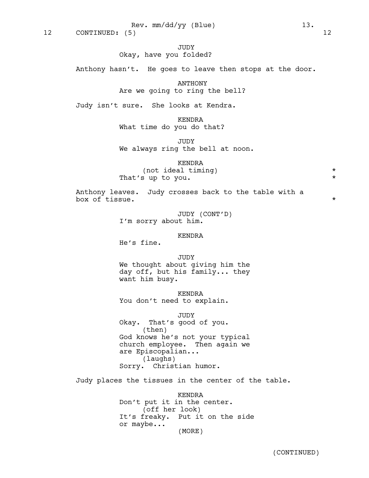JUDY

# Okay, have you folded?

Anthony hasn't. He goes to leave then stops at the door.

ANTHONY Are we going to ring the bell?

Judy isn't sure. She looks at Kendra.

KENDRA What time do you do that?

JUDY We always ring the bell at noon.

KENDRA

(not ideal timing)  $*$ That's up to you.

Anthony leaves. Judy crosses back to the table with a box of tissue.  $\star$ 

> JUDY (CONT'D) I'm sorry about him.

# KENDRA

He's fine.

**JUDY** We thought about giving him the day off, but his family... they want him busy.

KENDRA You don't need to explain.

JUDY

Okay. That's good of you. (then) God knows he's not your typical church employee. Then again we are Episcopalian... (laughs) Sorry. Christian humor.

Judy places the tissues in the center of the table.

KENDRA Don't put it in the center. (off her look) It's freaky. Put it on the side or maybe... (MORE)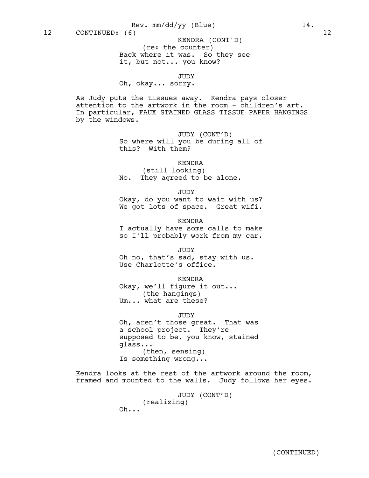(re: the counter) Back where it was. So they see it, but not... you know? KENDRA (CONT'D)

JUDY

Oh, okay... sorry.

As Judy puts the tissues away. Kendra pays closer attention to the artwork in the room - children's art. In particular, FAUX STAINED GLASS TISSUE PAPER HANGINGS by the windows.

> JUDY (CONT'D) So where will you be during all of this? With them?

> > KENDRA

(still looking) No. They agreed to be alone.

JUDY

Okay, do you want to wait with us? We got lots of space. Great wifi.

KENDRA I actually have some calls to make so I'll probably work from my car.

JUDY Oh no, that's sad, stay with us. Use Charlotte's office.

KENDRA Okay, we'll figure it out... (the hangings)

Um... what are these?

JUDY

Oh, aren't those great. That was a school project. They're supposed to be, you know, stained glass... (then, sensing) Is something wrong...

Kendra looks at the rest of the artwork around the room, framed and mounted to the walls. Judy follows her eyes.

> JUDY (CONT'D) (realizing)

 $Oh...$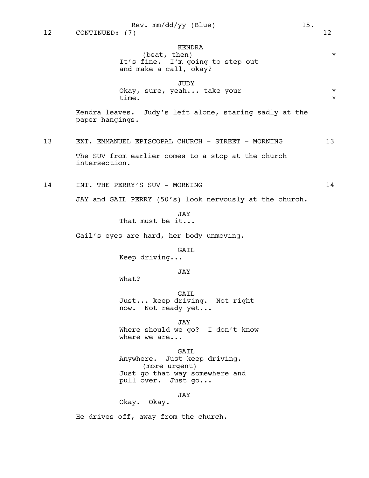KENDRA (beat, then)  $*$ It's fine. I'm going to step out and make a call, okay? JUDY Okay, sure, yeah... take your \* time.  $\star$ Kendra leaves. Judy's left alone, staring sadly at the paper hangings. 13 EXT. EMMANUEL EPISCOPAL CHURCH - STREET - MORNING 13 The SUV from earlier comes to a stop at the church intersection. 14 INT. THE PERRY'S SUV - MORNING 14 JAY and GAIL PERRY (50's) look nervously at the church. JAY That must be it... Gail's eyes are hard, her body unmoving. GAIL Keep driving... JAY What? GAIL Just... keep driving. Not right now. Not ready yet... JAY Where should we go? I don't know where we are... GAIL Anywhere. Just keep driving. (more urgent) Just go that way somewhere and pull over. Just go... JAY

Okay. Okay.

He drives off, away from the church.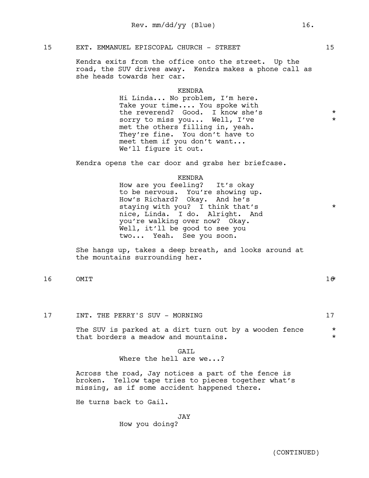# 15 EXT. EMMANUEL EPISCOPAL CHURCH - STREET 15

Kendra exits from the office onto the street. Up the road, the SUV drives away. Kendra makes a phone call as she heads towards her car.

# KENDRA

Hi Linda... No problem, I'm here. Take your time.... You spoke with the reverend? Good. I know she's  $*$ sorry to miss you... Well, I've \* met the others filling in, yeah. They're fine. You don't have to meet them if you don't want... We'll figure it out.

Kendra opens the car door and grabs her briefcase.

# KENDRA

How are you feeling? It's okay to be nervous. You're showing up. How's Richard? Okay. And he's staying with you? I think that's  $*$ nice, Linda. I do. Alright. And you're walking over now? Okay. Well, it'll be good to see you two... Yeah. See you soon.

She hangs up, takes a deep breath, and looks around at the mountains surrounding her.

- $16$  OMIT  $16$ 
	-
- 17 INT. THE PERRY'S SUV MORNING 17

The SUV is parked at a dirt turn out by a wooden fence  $*$ that borders a meadow and mountains.  $\star$ 

# GATT. Where the hell are we...?

Across the road, Jay notices a part of the fence is broken. Yellow tape tries to pieces together what's missing, as if some accident happened there.

He turns back to Gail.

# JAY

How you doing?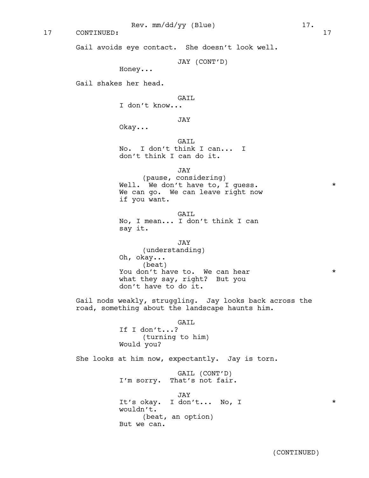17 CONTINUED: 17

Gail avoids eye contact. She doesn't look well.

JAY (CONT'D)

Honey...

Gail shakes her head.

# GATL.

I don't know...

JAY

Okay...

GAIL No. I don't think I can... I don't think I can do it.

JAY

(pause, considering) Well. We don't have to, I guess.  $*$ We can go. We can leave right now if you want.

GATL. No, I mean... I don't think I can say it.

# JAY

(understanding) Oh, okay... (beat) You don't have to. We can hear  $*$ what they say, right? But you don't have to do it.

Gail nods weakly, struggling. Jay looks back across the road, something about the landscape haunts him.

> GAIL If I don't...? (turning to him) Would you?

She looks at him now, expectantly. Jay is torn.

GAIL (CONT'D) I'm sorry. That's not fair.

JAY It's okay. I don't... No, I \* wouldn't. (beat, an option) But we can.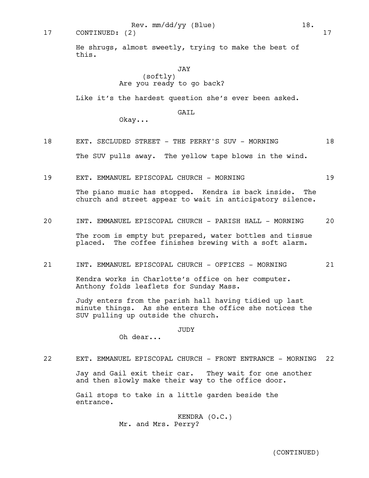17 CONTINUED: (2) 17

He shrugs, almost sweetly, trying to make the best of this.

# JAY

(softly) Are you ready to go back?

Like it's the hardest question she's ever been asked.

# GAIL

Okay...

- 18 EXT. SECLUDED STREET THE PERRY'S SUV MORNING 18 The SUV pulls away. The yellow tape blows in the wind.
- 19 EXT. EMMANUEL EPISCOPAL CHURCH MORNING 19

The piano music has stopped. Kendra is back inside. The church and street appear to wait in anticipatory silence.

20 INT. EMMANUEL EPISCOPAL CHURCH - PARISH HALL - MORNING 20

The room is empty but prepared, water bottles and tissue placed. The coffee finishes brewing with a soft alarm.

21 INT. EMMANUEL EPISCOPAL CHURCH - OFFICES - MORNING 21

Kendra works in Charlotte's office on her computer. Anthony folds leaflets for Sunday Mass.

Judy enters from the parish hall having tidied up last minute things. As she enters the office she notices the SUV pulling up outside the church.

JUDY

Oh dear...

22 EXT. EMMANUEL EPISCOPAL CHURCH - FRONT ENTRANCE - MORNING 22

Jay and Gail exit their car. They wait for one another and then slowly make their way to the office door.

Gail stops to take in a little garden beside the entrance.

> KENDRA (O.C.) Mr. and Mrs. Perry?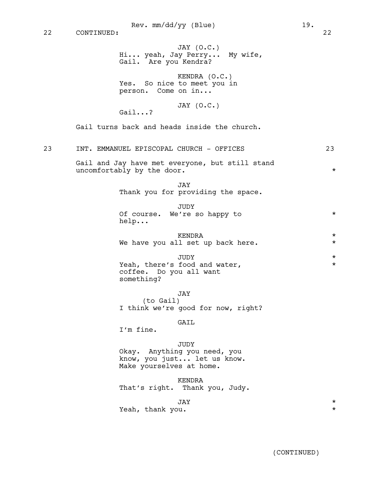JAY (O.C.) Hi... yeah, Jay Perry... My wife, Gail. Are you Kendra? KENDRA (O.C.) Yes. So nice to meet you in person. Come on in... JAY (O.C.) Gail turns back and heads inside the church. 23 INT. EMMANUEL EPISCOPAL CHURCH - OFFICES 23 Gail and Jay have met everyone, but still stand uncomfortably by the door. \* JAY Thank you for providing the space. **VUIIT.** 

|                              | u u u i |  |  |
|------------------------------|---------|--|--|
| Of course. We're so happy to |         |  |  |
| help                         |         |  |  |

| KENDRA |  |  |  |  |  |  |                                   |  |
|--------|--|--|--|--|--|--|-----------------------------------|--|
|        |  |  |  |  |  |  | We have you all set up back here. |  |

| TUDY.                         | *       |
|-------------------------------|---------|
| Yeah, there's food and water, | $\star$ |
| coffee. Do you all want       |         |
| something?                    |         |

JAY (to Gail) I think we're good for now, right?

# GAIL

I'm fine.

Gail...?

# JUDY

Okay. Anything you need, you know, you just... let us know. Make yourselves at home.

KENDRA That's right. Thank you, Judy.

# JAY \*

Yeah, thank you.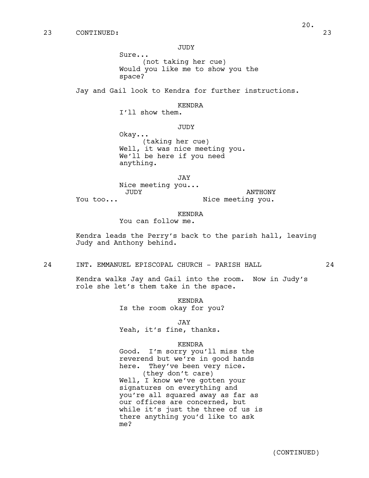Sure... (not taking her cue) Would you like me to show you the space?

Jay and Gail look to Kendra for further instructions.

#### KENDRA

I'll show them.

JUDY

Okay... (taking her cue) Well, it was nice meeting you. We'll be here if you need anything.

JAY

Nice meeting you... JUDY You too... ANTHONY Nice meeting you.

KENDRA

You can follow me.

Kendra leads the Perry's back to the parish hall, leaving Judy and Anthony behind.

24 INT. EMMANUEL EPISCOPAL CHURCH - PARISH HALL 24

Kendra walks Jay and Gail into the room. Now in Judy's role she let's them take in the space.

> KENDRA Is the room okay for you?

> > JAY

Yeah, it's fine, thanks.

#### KENDRA

Good. I'm sorry you'll miss the reverend but we're in good hands here. They've been very nice. (they don't care) Well, I know we've gotten your signatures on everything and you're all squared away as far as our offices are concerned, but while it's just the three of us is there anything you'd like to ask me?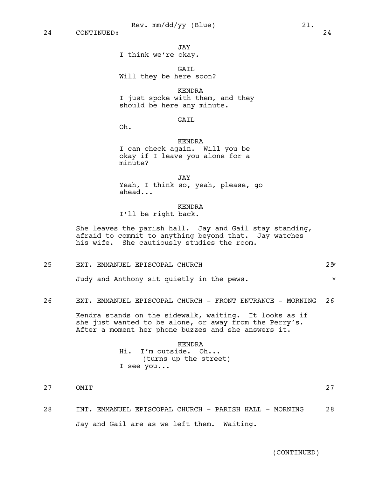JAY

# I think we're okay.

GATL Will they be here soon?

KENDRA I just spoke with them, and they should be here any minute.

# GAIL

Oh.

KENDRA I can check again. Will you be okay if I leave you alone for a minute?

JAY Yeah, I think so, yeah, please, go ahead...

KENDRA

I'll be right back.

She leaves the parish hall. Jay and Gail stay standing, afraid to commit to anything beyond that. Jay watches his wife. She cautiously studies the room.

| 25 | EXT. EMMANUEL EPISCOPAL CHURCH            |  |  |  | 25 |
|----|-------------------------------------------|--|--|--|----|
|    | Judy and Anthony sit quietly in the pews. |  |  |  |    |

26 EXT. EMMANUEL EPISCOPAL CHURCH - FRONT ENTRANCE - MORNING 26

Kendra stands on the sidewalk, waiting. It looks as if she just wanted to be alone, or away from the Perry's. After a moment her phone buzzes and she answers it.

# KENDRA Hi. I'm outside. Oh... (turns up the street) I see you...

- 27 OMIT 27
	-
- 28 INT. EMMANUEL EPISCOPAL CHURCH PARISH HALL MORNING 28 Jay and Gail are as we left them. Waiting.

(CONTINUED)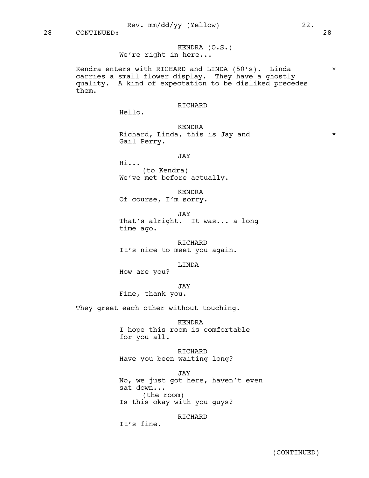KENDRA (O.S.) We're right in here...

Kendra enters with RICHARD and LINDA (50's). Linda  $*$ carries a small flower display. They have a ghostly quality. A kind of expectation to be disliked precedes them.

# RICHARD

Hello.

KENDRA Richard, Linda, this is Jay and  $*$ Gail Perry.

JAY

Hi... (to Kendra) We've met before actually.

KENDRA

Of course, I'm sorry.

JAY That's alright. It was... a long time ago.

RICHARD It's nice to meet you again.

LINDA

How are you?

JAY

Fine, thank you.

They greet each other without touching.

KENDRA I hope this room is comfortable for you all.

RICHARD Have you been waiting long?

JAY No, we just got here, haven't even sat down... (the room) Is this okay with you guys?

RICHARD

It's fine.

(CONTINUED)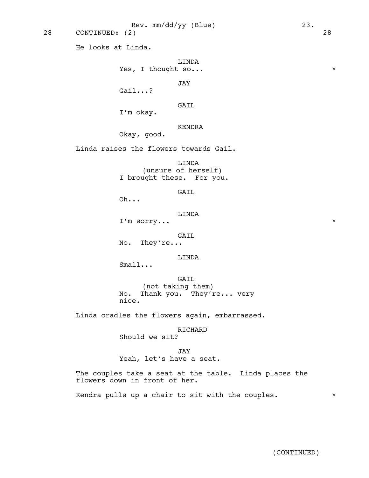He looks at Linda.

LINDA Yes, I thought so...  $\star$ 

JAY

Gail...?

GAIL

I'm okay.

KENDRA

Okay, good.

Linda raises the flowers towards Gail.

LINDA (unsure of herself) I brought these. For you.

GAIL

Oh...

LINDA

I'm sorry... \*

GAIL

No. They're...

LINDA

Small...

GAIL (not taking them) No. Thank you. They're... very nice.

Linda cradles the flowers again, embarrassed.

RICHARD

Should we sit?

JAY

Yeah, let's have a seat.

The couples take a seat at the table. Linda places the flowers down in front of her.

Kendra pulls up a chair to sit with the couples.  $*$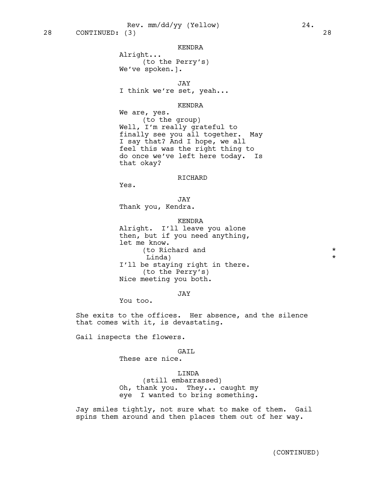## KENDRA

Alright... (to the Perry's) We've spoken.].

JAY

I think we're set, yeah...

# KENDRA

We are, yes. (to the group) Well, I'm really grateful to finally see you all together. May I say that? And I hope, we all feel this was the right thing to do once we've left here today. Is that okay?

# RICHARD

Yes.

# JAY

Thank you, Kendra.

# KENDRA

Alright. I'll leave you alone then, but if you need anything, let me know. (to Richard and  $\star$ Linda) \* I'll be staying right in there. (to the Perry's) Nice meeting you both.

JAY

You too.

She exits to the offices. Her absence, and the silence that comes with it, is devastating.

Gail inspects the flowers.

# GAIL

These are nice.

# LINDA

(still embarrassed) Oh, thank you. They... caught my eye I wanted to bring something.

Jay smiles tightly, not sure what to make of them. Gail spins them around and then places them out of her way.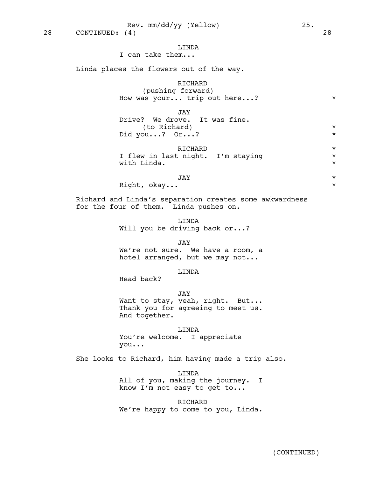# LINDA

I can take them...

Linda places the flowers out of the way.

# RICHARD

(pushing forward) How was your... trip out here...? \*

JAY

Drive? We drove. It was fine. (to Richard) \* Did you...? Or...? \*

RICHARD \*<br>pight. I'm staving \* \* \* I flew in last night. I'm staying with Linda.  $\star$ 

# JAY \*

Right, okay...  $\star$ 

Richard and Linda's separation creates some awkwardness for the four of them. Linda pushes on.

> LINDA Will you be driving back or...?

#### JAY

We're not sure. We have a room, a hotel arranged, but we may not...

# LINDA

Head back?

JAY Want to stay, yeah, right. But... Thank you for agreeing to meet us. And together.

LINDA You're welcome. I appreciate you...

She looks to Richard, him having made a trip also.

LINDA All of you, making the journey. I know I'm not easy to get to...

RICHARD We're happy to come to you, Linda.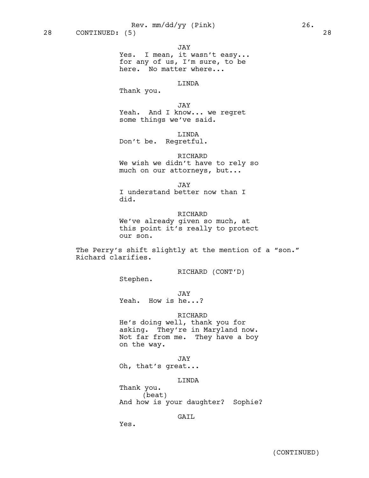JAY

Yes. I mean, it wasn't easy... for any of us, I'm sure, to be here. No matter where...

# LINDA

Thank you.

JAY

Yeah. And I know... we regret some things we've said.

LINDA

Don't be. Regretful.

RICHARD

We wish we didn't have to rely so much on our attorneys, but...

JAY

I understand better now than I did.

RICHARD We've already given so much, at this point it's really to protect our son.

The Perry's shift slightly at the mention of a "son." Richard clarifies.

RICHARD (CONT'D)

Stephen.

JAY

Yeah. How is he...?

RICHARD

He's doing well, thank you for asking. They're in Maryland now. Not far from me. They have a boy on the way.

JAY

Oh, that's great...

LINDA

(beat) And how is your daughter? Sophie?

GATT.

Yes.

Thank you.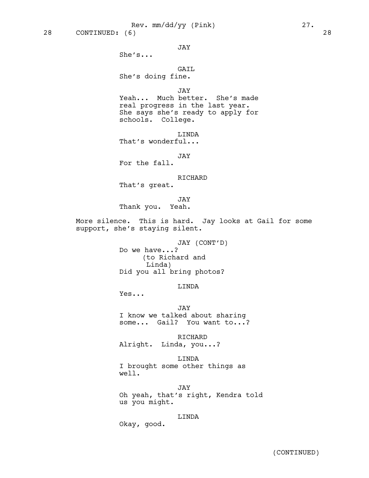JAY

She's...

GAIL

She's doing fine.

JAY

Yeah... Much better. She's made real progress in the last year. She says she's ready to apply for schools. College.

LINDA

That's wonderful...

JAY

For the fall.

RICHARD

That's great.

JAY Thank you. Yeah.

More silence. This is hard. Jay looks at Gail for some support, she's staying silent.

> JAY (CONT'D) Do we have...? (to Richard and Linda) Did you all bring photos?

> > LINDA

Yes...

JAY I know we talked about sharing some... Gail? You want to...?

RICHARD Alright. Linda, you...?

LINDA I brought some other things as well.

JAY Oh yeah, that's right, Kendra told us you might.

LINDA

Okay, good.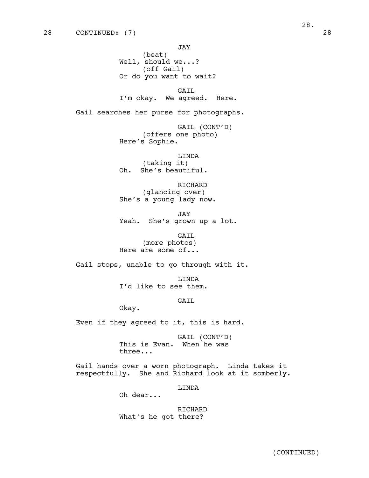JAY (beat) Well, should we...? (off Gail) Or do you want to wait?

GAIL I'm okay. We agreed. Here.

Gail searches her purse for photographs.

GAIL (CONT'D) (offers one photo) Here's Sophie.

LINDA (taking it) Oh. She's beautiful.

RICHARD (glancing over) She's a young lady now.

JAY Yeah. She's grown up a lot.

GAIL (more photos) Here are some of...

Gail stops, unable to go through with it.

LINDA I'd like to see them.

GAIL

Okay.

Even if they agreed to it, this is hard.

GAIL (CONT'D) This is Evan. When he was three...

Gail hands over a worn photograph. Linda takes it respectfully. She and Richard look at it somberly.

LINDA

Oh dear...

RICHARD What's he got there?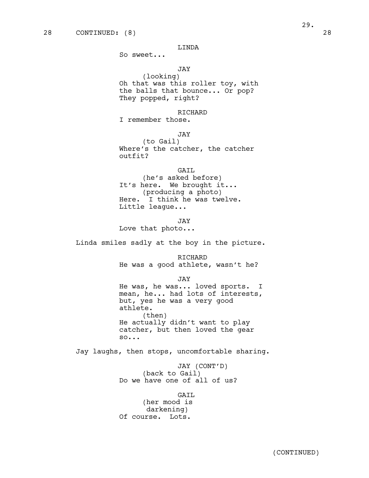So sweet...

# JAY

(looking) Oh that was this roller toy, with the balls that bounce... Or pop? They popped, right?

RICHARD

I remember those.

JAY

(to Gail) Where's the catcher, the catcher outfit?

GAIL (he's asked before) It's here. We brought it... (producing a photo) Here. I think he was twelve. Little league...

JAY Love that photo...

Linda smiles sadly at the boy in the picture.

RICHARD He was a good athlete, wasn't he?

JAY

He was, he was... loved sports. I mean, he... had lots of interests, but, yes he was a very good athlete. (then) He actually didn't want to play catcher, but then loved the gear so...

Jay laughs, then stops, uncomfortable sharing.

JAY (CONT'D) (back to Gail) Do we have one of all of us?

GAIL (her mood is darkening) Of course. Lots.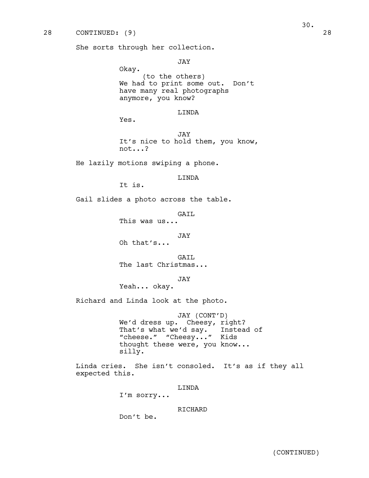She sorts through her collection.

JAY

Okay. (to the others) We had to print some out. Don't have many real photographs anymore, you know?

# LINDA

Yes.

JAY It's nice to hold them, you know, not...?

He lazily motions swiping a phone.

LINDA

It is.

Gail slides a photo across the table.

GAIL

This was us...

JAY

Oh that's...

GATL. The last Christmas...

JAY

Yeah... okay.

Richard and Linda look at the photo.

JAY (CONT'D) We'd dress up. Cheesy, right? That's what we'd say. Instead of "cheese." "Cheesy..." Kids thought these were, you know... silly.

Linda cries. She isn't consoled. It's as if they all expected this.

LINDA

I'm sorry...

RICHARD

Don't be.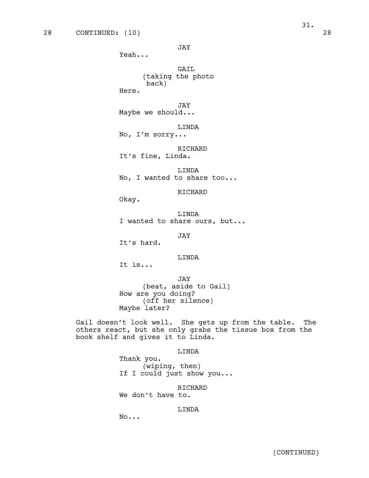JAY

Yeah...

GAIL (taking the photo back)

Here.

JAY

Maybe we should...

LINDA

No, I'm sorry...

RICHARD It's fine, Linda.

LINDA No, I wanted to share too...

RICHARD

Okay.

LINDA I wanted to share ours, but...

JAY

It's hard.

# LINDA

It is...

JAY (beat, aside to Gail) How are you doing? (off her silence) Maybe later?

Gail doesn't look well. She gets up from the table. The others react, but she only grabs the tissue box from the book shelf and gives it to Linda.

LINDA

Thank you. (wiping, then) If I could just show you...

RICHARD

We don't have to.

# LINDA

No...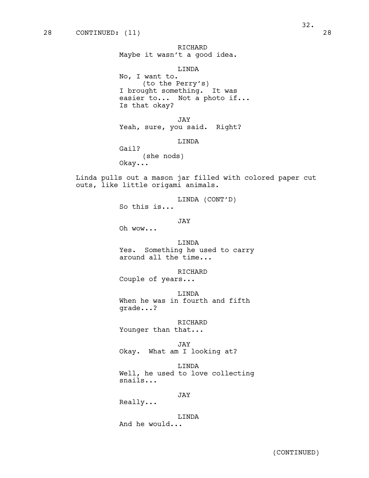# LINDA

No, I want to. (to the Perry's) I brought something. It was easier to... Not a photo if... Is that okay?

JAY Yeah, sure, you said. Right?

LINDA

Gail? (she nods) Okay...

Linda pulls out a mason jar filled with colored paper cut outs, like little origami animals.

> LINDA (CONT'D) So this is...

> > JAY

Oh wow...

LINDA Yes. Something he used to carry around all the time...

RICHARD Couple of years...

LINDA When he was in fourth and fifth grade...?

RICHARD Younger than that...

JAY Okay. What am I looking at?

LINDA Well, he used to love collecting snails...

JAY

Really...

LINDA And he would...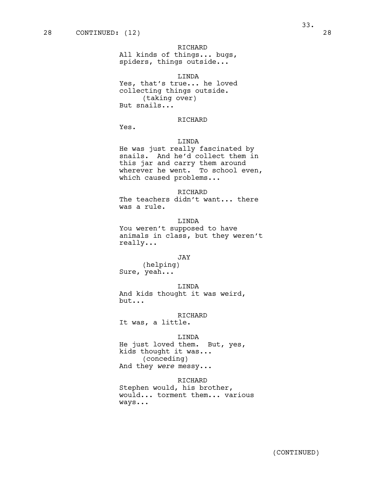# RICHARD

All kinds of things... bugs, spiders, things outside...

## LINDA

Yes, that's true... he loved collecting things outside. (taking over) But snails...

# RICHARD

Yes.

#### LINDA

He was just really fascinated by snails. And he'd collect them in this jar and carry them around wherever he went. To school even, which caused problems...

RICHARD The teachers didn't want... there was a rule.

# LINDA

You weren't supposed to have animals in class, but they weren't really...

# JAY

(helping) Sure, yeah...

#### LINDA

And kids thought it was weird, but...

# RICHARD

It was, a little.

#### LINDA

He just loved them. But, yes, kids thought it was... (conceding) And they *were* messy...

#### RICHARD

Stephen would, his brother, would... torment them... various ways...

33.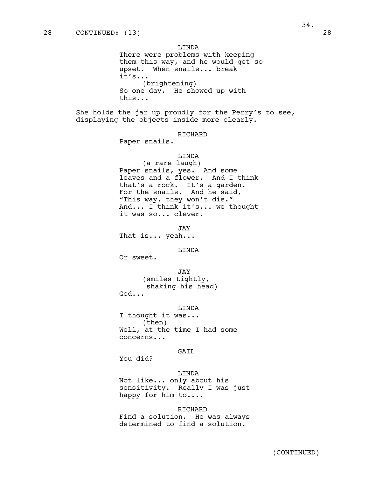LINDA

There were problems with keeping them this way, and he would get so upset. When snails... break it's... (brightening) So one day. He showed up with this...

She holds the jar up proudly for the Perry's to see, displaying the objects inside more clearly.

# RICHARD

Paper snails.

# LINDA

(a rare laugh) Paper snails, yes. And some leaves and a flower. And I think that's a rock. It's a garden. For the snails. And he said, "This way, they won't die." And... I think it's... we thought it was so... clever.

JAY

That is... yeah...

#### LINDA

Or sweet.

JAY (smiles tightly, shaking his head) God...

#### LINDA

I thought it was... (then) Well, at the time I had some concerns...

# GAIL

You did?

# LINDA

Not like... only about his sensitivity. Really I was just happy for him to....

RICHARD Find a solution. He was always determined to find a solution.

34.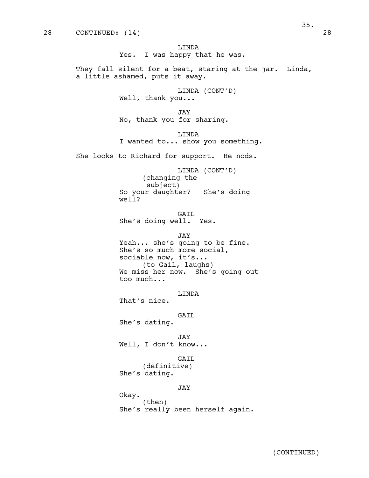LINDA Yes. I was happy that he was.

They fall silent for a beat, staring at the jar. Linda, a little ashamed, puts it away.

> LINDA (CONT'D) Well, thank you...

JAY No, thank you for sharing.

LINDA I wanted to... show you something.

She looks to Richard for support. He nods.

LINDA (CONT'D) (changing the subject) So your daughter? She's doing well?

GAIL She's doing well. Yes.

JAY

Yeah... she's going to be fine. She's so much more social, sociable now, it's... (to Gail, laughs) We miss her now. She's going out too much...

LINDA That's nice.

GAIL

She's dating.

JAY Well, I don't know...

GAIL

(definitive) She's dating.

#### JAY

Okay. (then) She's really been herself again. 35.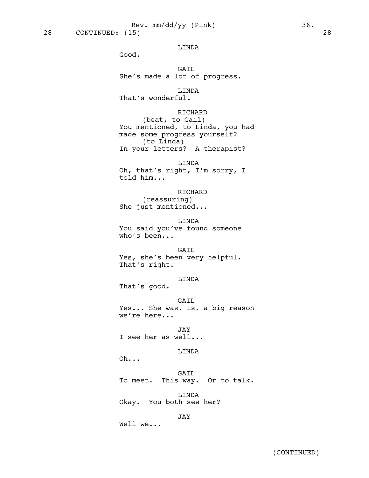28 CONTINUED: (15) 28

#### LINDA

Good.

GAIL She's made a lot of progress.

# LINDA

That's wonderful.

# RICHARD

(beat, to Gail) You mentioned, to Linda, you had made some progress yourself? (to Linda) In your letters? A therapist?

LINDA Oh, that's right, I'm sorry, I told him...

RICHARD (reassuring) She just mentioned...

LINDA You said you've found someone who's been...

GAIL Yes, she's been very helpful. That's right.

# LINDA

That's good.

GAIL Yes... She was, is, a big reason we're here...

JAY I see her as well...

# LINDA

Oh...

GAIL To meet. This way. Or to talk.

LINDA Okay. You both see her?

JAY

Well we...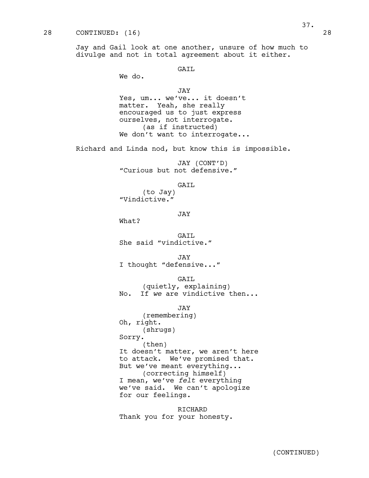Jay and Gail look at one another, unsure of how much to divulge and not in total agreement about it either.

# GAIL

We do.

JAY

Yes, um... we've... it doesn't matter. Yeah, she really encouraged us to just express ourselves, not interrogate. (as if instructed) We don't want to interrogate...

Richard and Linda nod, but know this is impossible.

JAY (CONT'D) "Curious but not defensive."

#### GAIL

(to Jay) "Vindictive."

JAY

What?

GAIL She said "vindictive."

JAY I thought "defensive..."

#### GAIL

(quietly, explaining) No. If *we* are vindictive then...

#### JAY

(remembering) Oh, right. (shrugs) Sorry. (then) It doesn't matter, we aren't here to attack. We've promised that. But we've meant everything... (correcting himself) I mean, we've *felt* everything we've said. We can't apologize for our feelings.

RICHARD Thank you for your honesty.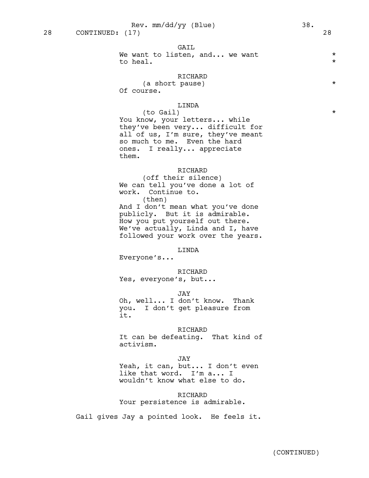#### GAIL

We want to listen, and... we want  $*$ to heal.  $\star$ 

## RICHARD

(a short pause)  $*$ Of course.

## LINDA

(to Gail) \* You know, your letters... while they've been very... difficult for all of us, I'm sure, they've meant so much to me. Even the hard ones. I really... appreciate them.

## RICHARD

(off their silence) We can tell you've done a lot of work. Continue to.

(then) And I don't mean what you've done publicly. But it is admirable. How you put yourself out there. We've actually, Linda and I, have followed your work over the years.

#### LINDA

Everyone's...

# RICHARD Yes, everyone's, but...

JAY Oh, well... I don't know. Thank you. I don't get pleasure from it.

#### RICHARD

It can be defeating. That kind of activism.

# JAY

Yeah, it can, but... I don't even like that word. I'm a... I wouldn't know what else to do.

## RICHARD Your persistence is admirable.

Gail gives Jay a pointed look. He feels it.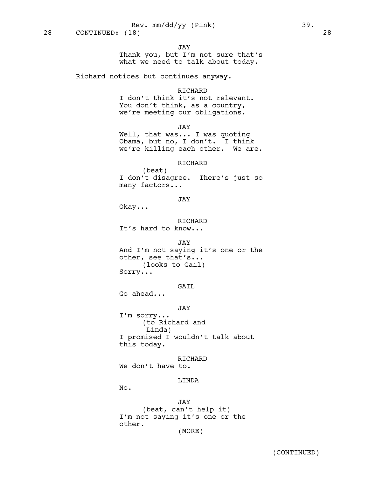JAY

Thank you, but I'm not sure that's what we need to talk about today.

Richard notices but continues anyway.

#### RICHARD

I don't think it's not relevant. You don't think, as a country, we're meeting our obligations.

JAY

Well, that was... I was quoting Obama, but no, I don't. I think we're killing each other. We are.

# RICHARD

(beat) I don't disagree. There's just so many factors...

# JAY

Okay...

RICHARD It's hard to know...

## JAY

And I'm not saying it's one or the other, see that's... (looks to Gail) Sorry...

GAIL

Go ahead...

# JAY

I'm sorry... (to Richard and Linda) I promised I wouldn't talk about this today.

RICHARD We don't have to.

#### LINDA

No.

JAY (beat, can't help it) I'm not saying it's one or the other. (MORE)

(CONTINUED)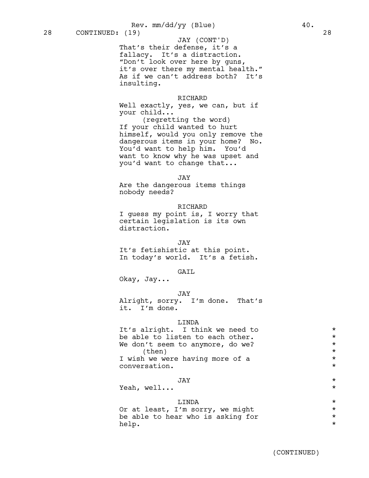Rev. mm/dd/yy (Blue) 40.

That's their defense, it's a fallacy. It's a distraction. "Don't look over here by guns, it's over there my mental health." As if we can't address both? It's insulting. JAY (CONT'D)

## RICHARD

Well exactly, yes, we can, but if your child...

(regretting the word) If your child wanted to hurt himself, would you only remove the dangerous items in your home? No. You'd want to help him. You'd want to know why he was upset and you'd want to change that...

JAY

Are the dangerous items things nobody needs?

#### RICHARD

I guess my point is, I worry that certain legislation is its own distraction.

#### JAY

It's fetishistic at this point. In today's world. It's a fetish.

## GAIL

Okay, Jay...

#### JAY

Alright, sorry. I'm done. That's it. I'm done.

## LINDA

| It's alright. I think we need to | $\star$ |
|----------------------------------|---------|
| be able to listen to each other. | $\star$ |
| We don't seem to anymore, do we? | $\star$ |
| (then)                           | $\star$ |
| I wish we were having more of a  | $\star$ |
| conversation.                    | $\star$ |
|                                  |         |

# JAY \*

Yeah, well...  $\star$ 

LINDA<br>I'm sorry, we might that the sorry we might Or at least, I'm sorry, we might  $*$ <br>be able to hear who is asking for  $*$ be able to hear who is asking for help. \*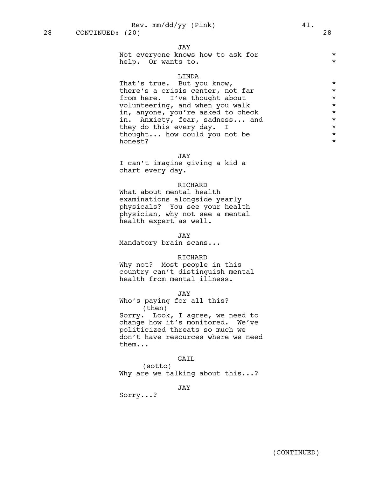# JAY

| Not everyone knows how to ask for |  |
|-----------------------------------|--|
| help. Or wants to.                |  |

## LINDA

That's true. But you know,  $*$ there's a crisis center, not far  $*$ from here. I've thought about \* volunteering, and when you walk \* in, anyone, you're asked to check  $\star$ <br>in, Anxiety, fear, sadness,,, and  $\star$ in. Anxiety, fear, sadness... and  $\star$ <br>they do this every day. I they do this every day. I<br>thought... how could you not be  $\star$ thought... how could you not be  $\qquad \qquad *$ <br>honest? honest?

JAY

I can't imagine giving a kid a chart every day.

#### RICHARD

What about mental health examinations alongside yearly physicals? You see your health physician, why not see a mental health expert as well.

#### JAY

Mandatory brain scans...

## RICHARD

Why not? Most people in this country can't distinguish mental health from mental illness.

#### JAY

Who's paying for all this? (then)

Sorry. Look, I agree, we need to change how it's monitored. We've politicized threats so much we don't have resources where we need them...

# GAIL

(sotto) Why are we talking about this...?

JAY

Sorry...?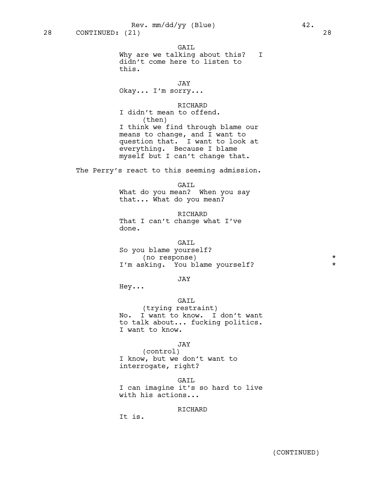GAIL Why are we talking about this? I didn't come here to listen to this. JAY Okay... I'm sorry... RICHARD I didn't mean to offend. (then) I think we find through blame our means to change, and I want to question that. I want to look at everything. Because I blame myself but I can't change that. The Perry's react to this seeming admission. GAIL What do you mean? When you say that... What do you mean? RICHARD That I can't change what I've done. GAIL So you blame yourself? (no response) \* I'm asking. You blame yourself? \* JAY Hey... GAIL (trying restraint) No. I want to know. I don't want to talk about... fucking politics. I want to know. JAY (control) I know, but we don't want to interrogate, right? GAIL

I can imagine it's so hard to live with his actions...

## RICHARD

It is.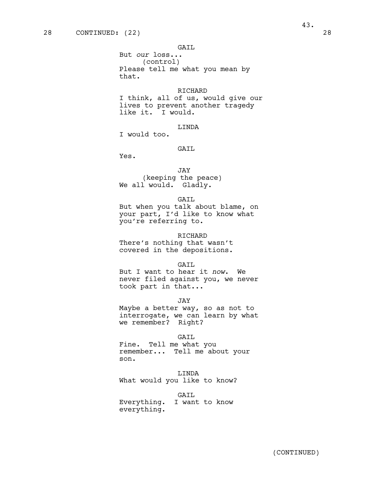But *our* loss... (control) Please tell me what you mean by that.

## RICHARD

I think, all of us, would give our lives to prevent another tragedy like it. I would.

## LINDA

I would too.

## GAIL

Yes.

# JAY (keeping the peace) We all would. Gladly.

## GAIL

But when you talk about blame, on your part, I'd like to know what you're referring to.

#### RICHARD

There's nothing that wasn't covered in the depositions.

#### GAIL

But I want to hear it *now*. We never filed against you, we never took part in that...

JAY

Maybe a better way, so as not to interrogate, we can learn by what we remember? Right?

#### GAIL

Fine. Tell me what you remember... Tell me about your son.

LINDA What would you like to know?

GAIL

Everything. I want to know everything.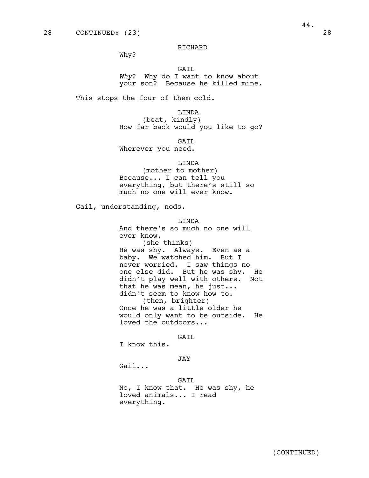Why?

# GAIL

*Why*? Why do I want to know about your son? Because he killed mine.

This stops the four of them cold.

LINDA

(beat, kindly) How far back would you like to go?

GAIL

Wherever you need.

LINDA

(mother to mother) Because... I can tell you everything, but there's still so much no one will ever know.

Gail, understanding, nods.

LINDA

And there's so much no one will ever know. (she thinks) He was shy. Always. Even as a baby. We watched him. But I never worried. I saw things no one else did. But he was shy. He didn't play well with others. Not that he was mean, he just... didn't seem to know how to. (then, brighter) Once he was a little older he would only want to be outside. He loved the outdoors...

GATT.

I know this.

JAY

Gail...

GAIL No, I know that. He was shy, he loved animals... I read everything.

44.

(CONTINUED)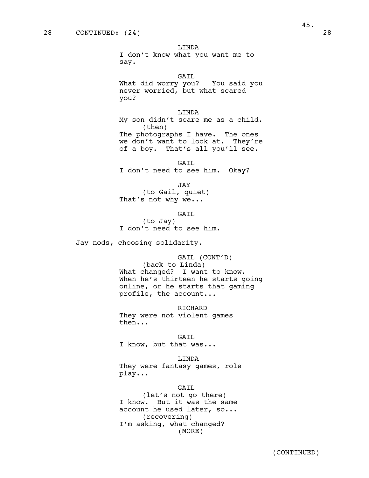I don't know what you want me to say.

GAIL

What did worry you? You said you never worried, but what scared you?

## LINDA

My son didn't scare me as a child. (then) The photographs I have. The ones we don't want to look at. They're of a boy. That's all you'll see.

GAIL I don't need to see him. Okay?

JAY

(to Gail, quiet) That's not why we...

GAIL (to Jay) I don't need to see him.

Jay nods, choosing solidarity.

GAIL (CONT'D) (back to Linda) What changed? I want to know. When he's thirteen he starts going online, or he starts that gaming profile, the account...

RICHARD They were not violent games then...

GAIL

I know, but that was...

LINDA

They were fantasy games, role play...

#### GAIL

(let's not go there) I know. But it was the same account he used later, so... (recovering) I'm asking, what changed? (MORE)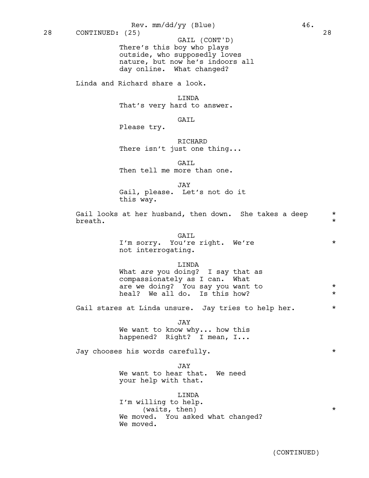There's this boy who plays outside, who supposedly loves nature, but now he's indoors all day online. What changed? GAIL (CONT'D)

Linda and Richard share a look.

LINDA That's very hard to answer.

# GAIL

Please try.

RICHARD There isn't just one thing...

GAIL Then tell me more than one.

JAY

Gail, please. Let's not do it

this way.

Gail looks at her husband, then down. She takes a deep  $*$ breath.  $\star$ 

#### GAIL

I'm sorry. You're right. We're \* not interrogating.

# LINDA

What *are* you doing? I say that as compassionately as I can. What are we doing? You say you want to  $*$ heal? We all do. Is this how?  $*$ 

Gail stares at Linda unsure. Jay tries to help her.  $*$ 

JAY We want to know why... how this happened? Right? I mean, I...

Jay chooses his words carefully. \*

JTAY. We want to hear that. We need your help with that.

LINDA I'm willing to help. (waits, then)  $*$ We moved. You asked what changed? We moved.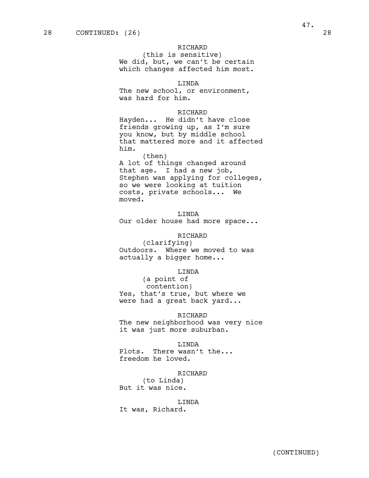(this is sensitive) We did, but, we can't be certain which changes affected him most.

# LINDA

The new school, or environment, was hard for him.

## RICHARD

Hayden... He didn't have close friends growing up, as I'm sure you know, but by middle school that mattered more and it affected him.

(then) A lot of things changed around that age. I had a new job, Stephen was applying for colleges, so we were looking at tuition costs, private schools... We moved.

## LINDA

Our older house had more space...

# RICHARD

(clarifying) Outdoors. Where we moved to was actually a bigger home...

#### LINDA

(a point of contention) Yes, that's true, but where we were had a great back yard...

#### RICHARD

The new neighborhood was very nice it was just more suburban.

#### LINDA

Plots. There wasn't the... freedom he loved.

#### RICHARD

(to Linda) But it was nice.

# LINDA

It was, Richard.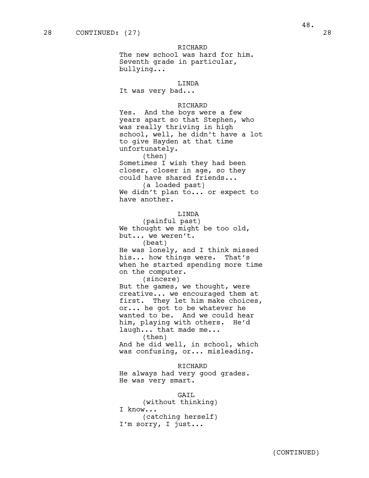The new school was hard for him. Seventh grade in particular, bullying...

# LINDA

It was very bad...

#### RICHARD

Yes. And the boys were a few years apart so that Stephen, who was really thriving in high school, well, he didn't have a lot to give Hayden at that time unfortunately. (then) Sometimes I wish they had been closer, closer in age, so they could have shared friends... (a loaded past) We didn't plan to... or expect to

have another.

## LINDA

(painful past) We thought we might be too old, but... we weren't. (beat)

He was lonely, and I think missed his... how things were. That's when he started spending more time on the computer.

(sincere)

But the games, we thought, were creative... we encouraged them at first. They let him make choices, or... he got to be whatever he wanted to be. And we could hear him, playing with others. He'd laugh... that made me... (then)

And he did well, in school, which was confusing, or... misleading.

#### RICHARD

He always had very good grades. He was very smart.

#### GAIL

(without thinking) I know... (catching herself) I'm sorry, I just...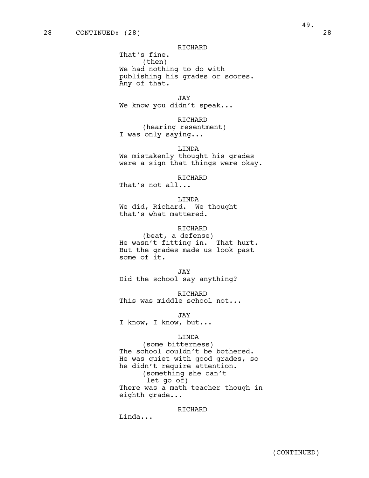That's fine. (then) We had nothing to do with publishing his grades or scores. Any of that.

JAY We know you didn't speak...

## RICHARD

(hearing resentment) I was only saying...

LINDA We mistakenly thought his grades were a sign that things were okay.

RICHARD

That's not all...

LINDA We did, Richard. We thought that's what mattered.

## RICHARD

(beat, a defense) He wasn't fitting in. That hurt. But the grades made us look past some of it.

JAY Did the school say anything?

RICHARD This was middle school not...

JAY

I know, I know, but...

## LINDA

(some bitterness) The school couldn't be bothered. He was quiet with good grades, so he didn't require attention. (something she can't let go of) There was a math teacher though in eighth grade...

RICHARD

Linda...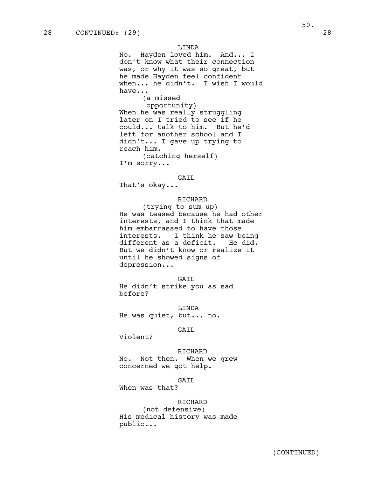#### LINDA

No. Hayden loved him. And... I don't know what their connection was, or why it was so great, but he made Hayden feel confident when... he didn't. I wish I would have... (a missed

opportunity) When he was really struggling later on I tried to see if he could... talk to him. But he'd left for another school and I didn't... I gave up trying to reach him. (catching herself)

I'm sorry...

#### GAIL

That's okay...

## RICHARD

(trying to sum up) He was teased because he had other interests, and I think that made him embarrassed to have those interests. I think he saw being<br>different as a deficit. He did. different as a deficit. But we didn't know or realize it until he showed signs of depression...

#### GAIL

He didn't strike you as sad before?

LINDA He was quiet, but... no.

# GAIL

Violent?

RICHARD No. Not then. When we grew concerned we got help.

GAIL

When was that?

#### RICHARD

(not defensive) His medical history was made public...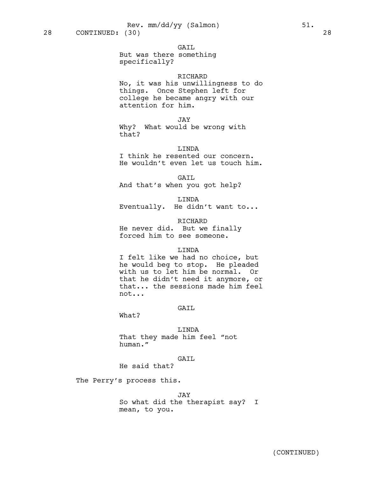#### GAIL

But was there something specifically?

## RICHARD

No, it was his unwillingness to do things. Once Stephen left for college he became angry with our attention for him.

JAY

Why? What would be wrong with that?

LINDA

I think he resented our concern. He wouldn't even let us touch him.

GAIL And that's when you got help?

LINDA Eventually. He didn't want to...

RICHARD He never did. But we finally forced him to see someone.

#### LINDA

I felt like we had no choice, but he would beg to stop. He pleaded with us to let him be normal. Or that he didn't need it anymore, or that... the sessions made him feel not...

# GAIL

What?

LINDA That they made him feel "not human."

# GAIL

He said that?

The Perry's process this.

JAY

So what did the therapist say? I mean, to you.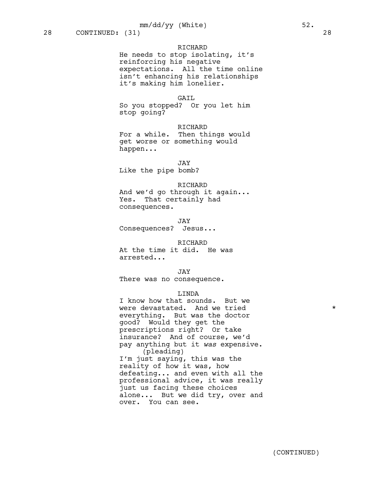He needs to stop isolating, it's reinforcing his negative expectations. All the time online isn't enhancing his relationships it's making him lonelier.

#### GAIL

So you stopped? Or you let him stop going?

#### RICHARD

For a while. Then things would get worse or something would happen...

JAY

Like the pipe bomb?

#### RICHARD

And we'd go through it again... Yes. That certainly had consequences.

JAY Consequences? Jesus...

#### RICHARD

At the time it did. He was arrested...

JAY

There was no consequence.

# LINDA

I know how that sounds. But we were devastated. And we tried  $*$ everything. But was the doctor good? Would they get the prescriptions right? Or take insurance? And of course, we'd pay anything but it *was* expensive. (pleading) I'm just saying, this was the reality of how it was, how defeating... and even with all the professional advice, it was really just us facing these choices alone... But we did try, over and over. You can see.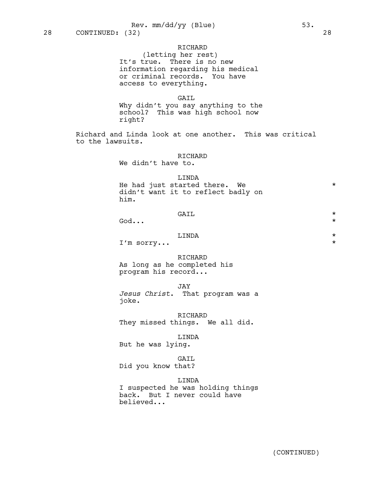(letting her rest) It's true. There is no new information regarding his medical or criminal records. You have access to everything.

#### GAIL

Why didn't you say anything to the school? This was high school now right?

Richard and Linda look at one another. This was critical to the lawsuits.

#### RICHARD

We didn't have to.

#### LINDA

He had just started there. We  $*$ didn't want it to reflect badly on him.

|           | GAIL   | $\star$ |
|-----------|--------|---------|
| God       |        | $\star$ |
|           | T.TNDA | $\star$ |
| I'm sorry |        | $\star$ |

RICHARD As long as he completed his program his record...

JAY

*Jesus Christ*. That program was a joke.

RICHARD They missed things. We all did.

LINDA

But he was lying.

# GAIL

Did you know that?

# LINDA

I suspected he was holding things back. But I never could have believed...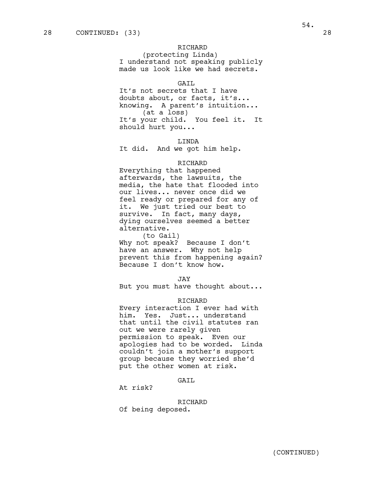(protecting Linda) I understand not speaking publicly made us look like we had secrets.

## GATL

It's not secrets that I have doubts about, or facts, it's... knowing. A parent's intuition... (at a loss) It's your child. You feel it. It should hurt you...

LINDA

It did. And we got him help.

## RICHARD

Everything that happened afterwards, the lawsuits, the media, the hate that flooded into our lives... never once did we feel ready or prepared for any of it. We just tried our best to survive. In fact, many days, dying ourselves seemed a better alternative.

(to Gail) Why not speak? Because I don't have an answer. Why not help prevent this from happening again? Because I don't know how.

JAY

But you must have thought about...

#### RICHARD

Every interaction I ever had with him. Yes. Just... understand that until the civil statutes ran out we were rarely given permission to speak. Even our apologies had to be worded. Linda couldn't join a mother's support group because they worried she'd put the other women at risk.

#### GAIL

At risk?

RICHARD Of being deposed.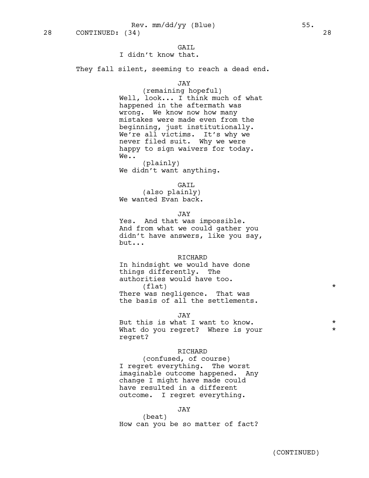# GAIL

# I didn't know that.

They fall silent, seeming to reach a dead end.

JAY

(remaining hopeful) Well, look... I think much of what happened in the aftermath was wrong. We know now how many mistakes were made even from the beginning, just institutionally. We're all victims. It's why we never filed suit. Why we were happy to sign waivers for today. We..

(plainly) We didn't want anything.

#### GAIL

(also plainly) We wanted Evan back.

JAY

Yes. And that was impossible. And from what we could gather you didn't have answers, like you say, but...

#### RICHARD

In hindsight we would have done things differently. The authorities would have too.  $(tlet)$  \* There was negligence. That was

the basis of all the settlements.

JAY

But this is what I want to know.  $*$ What do you regret? Where is your  $*$ regret?

#### RICHARD

(confused, of course) I regret everything. The worst imaginable outcome happened. Any change I might have made could have resulted in a different outcome. I regret everything.

#### JAY

(beat) How can you be so matter of fact?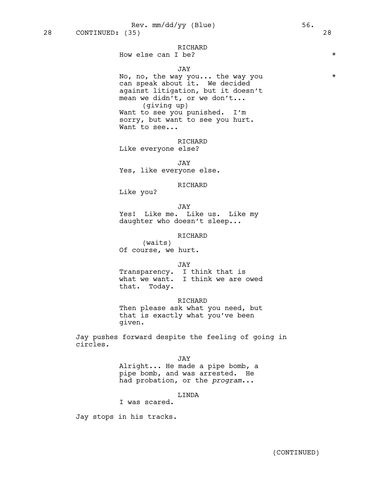## How else can I be?  $\star$

## JAY

No, no, the way you... the way you \* can speak about it. We decided against litigation, but it doesn't mean we didn't, or we don't... (giving up) Want to see you punished. I'm sorry, but want to see you hurt. Want to see...

RICHARD Like everyone else?

JAY Yes, like everyone else.

#### RICHARD

Like you?

JAY

Yes! Like me. Like us. Like my daughter who doesn't sleep...

## RICHARD

(waits) Of course, we hurt.

JAY

Transparency. I think that is what we want. I think we are owed that. Today.

RICHARD

Then please ask what you need, but that is exactly what you've been given.

Jay pushes forward despite the feeling of going in circles.

JAY

Alright... He made a pipe bomb, a pipe bomb, and was arrested. He had probation, or the *program*...

# LINDA

I was scared.

Jay stops in his tracks.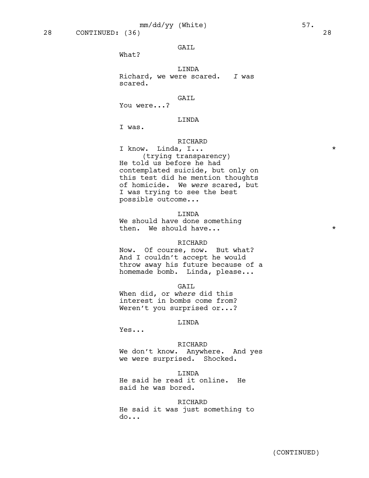28 CONTINUED: (36) 28

## GAIL

What?

LINDA Richard, we were scared. *I* was scared.

#### GAIL

You were...?

# LINDA

I was.

#### RICHARD

I know. Linda, I... \* (trying transparency) He told us before he had contemplated suicide, but only on this test did he mention thoughts of homicide. We *were* scared, but I was trying to see the best possible outcome...

## LINDA

We should have done something then. We should have...  $\star$ 

## RICHARD

Now. Of course, now. But what? And I couldn't accept he would throw away his future because of a homemade bomb. Linda, please...

#### GAIL

When did, or *where* did this interest in bombs come from? Weren't you surprised or...?

## LINDA

Yes...

#### RICHARD

We don't know. Anywhere. And yes we were surprised. Shocked.

## LINDA

He said he read it online. He said he was bored.

#### RICHARD

He said it was just something to do...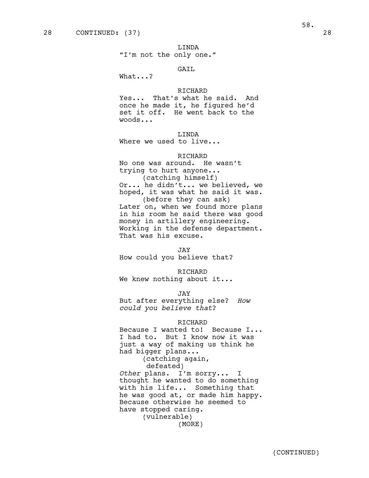"I'm not the only one."

# GAIL

What...?

# RICHARD

Yes... That's what he said. And once he made it, he figured he'd set it off. He went back to the woods...

## LINDA

Where we used to live...

#### RICHARD

No one was around. He wasn't trying to hurt anyone... (catching himself) Or... he didn't... we believed, we hoped, it was what he said it was. (before they can ask) Later on, when we found more plans in his room he said there was good money in artillery engineering. Working in the defense department. That was his excuse.

JAY How could you believe that?

RICHARD We knew nothing about it...

JAY

But after everything else? *How could you believe that*?

#### RICHARD

Because I wanted to! Because I... I had to. But I know now it was just a way of making us think he had bigger plans... (catching again, defeated)

*Other* plans. I'm sorry... I thought he wanted to do something with his life... Something that he was good at, or made him happy. Because otherwise he seemed to have stopped caring. (vulnerable)

(MORE)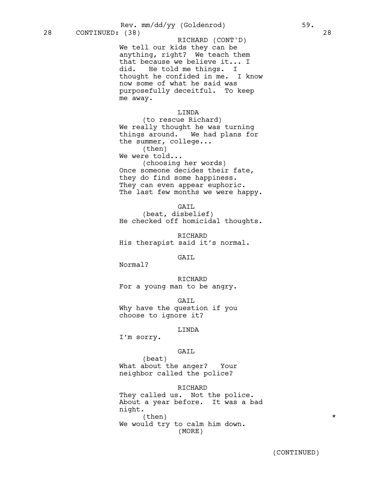Rev. mm/dd/yy (Goldenrod) 59.

We tell our kids they can be anything, right? We teach them that because we believe it... I did. He told me things. I thought he confided in me. I know now some of what he said was purposefully deceitful. To keep me away. RICHARD (CONT'D)

# LINDA

(to rescue Richard) We really thought he was turning things around. We had plans for the summer, college... (then) We were told... (choosing her words) Once someone decides their fate, they do find some happiness. They can even appear euphoric.

The last few months we were happy.

GAIL

(beat, disbelief) He checked off homicidal thoughts.

RICHARD His therapist said it's normal.

GATT.

Normal?

RICHARD For a young man to be angry.

GAIL Why have the question if you choose to ignore it?

#### LINDA

I'm sorry.

## GAIL

(beat) What about the anger? Your neighbor called the police?

## RICHARD

They called us. Not the police. About a year before. It was a bad night.  $\times$  (then)  $*$ We would try to calm him down. (MORE)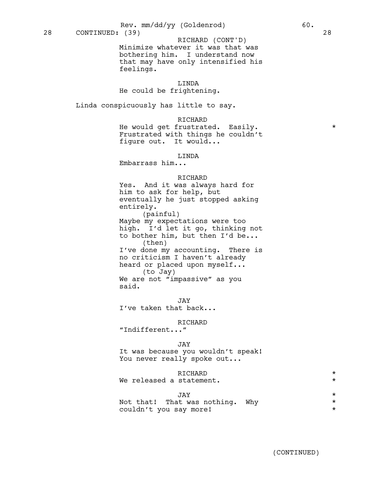28 CONTINUED: (39) 28

Minimize whatever it was that was bothering him. I understand now that may have only intensified his feelings. RICHARD (CONT'D)

# LINDA

# He could be frightening.

Linda conspicuously has little to say.

## RICHARD

He would get frustrated. Easily. Frustrated with things he couldn't figure out. It would...

#### LINDA

Embarrass him...

#### RICHARD

Yes. And it was always hard for him to ask for help, but eventually he just stopped asking entirely. (painful)

Maybe my expectations were too high. I'd let it go, thinking not to bother him, but then I'd be... (then) I've done my accounting. There is no criticism I haven't already heard or placed upon myself... (to Jay) We are not "impassive" as you said.

JAY I've taken that back...

## RICHARD

"Indifferent..."

#### JAY

It was because you wouldn't speak! You never really spoke out...

## RICHARD  $\star$

We released a statement.  $\star$ 

# JAY \*

|  |                        | Not that! That was nothing. Why |  |
|--|------------------------|---------------------------------|--|
|  | couldn't you say more! |                                 |  |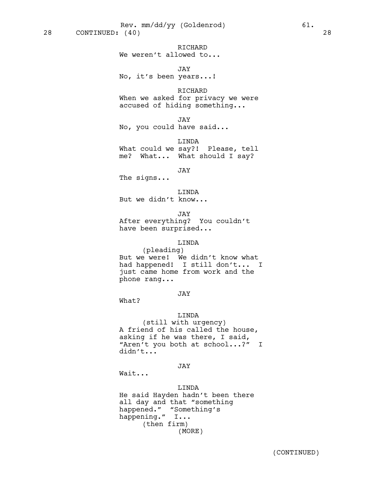RICHARD We weren't allowed to...

JAY No, it's been years...!

RICHARD When we asked for privacy we were accused of hiding something...

JAY No, you could have said...

LINDA What could we say?! Please, tell me? What... What should I say?

JAY

The signs...

LINDA But we didn't know...

JAY

After everything? You couldn't have been surprised...

# LINDA

(pleading) But we were! We didn't know what had happened! I still don't... I just came home from work and the phone rang...

# JAY

What?

# LINDA

(still with urgency) A friend of his called the house, asking if he was there, I said, "Aren't you both at school...?" I didn't...

# JAY

Wait...

## LINDA

He said Hayden hadn't been there all day and that "something happened." "Something's happening." I... (then firm) (MORE)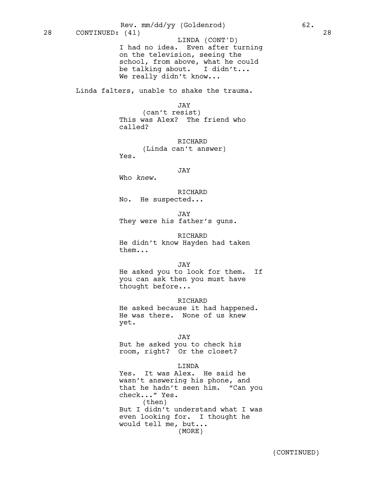I had no idea. Even after turning on the television, seeing the school, from above, what he could be talking about. I didn't... We really didn't know... 28 CONTINUED: (41) 28 LINDA (CONT'D) Rev. mm/dd/yy (Goldenrod) 62.

Linda falters, unable to shake the trauma.

#### JAY

(can't resist) This was Alex? The friend who called?

RICHARD (Linda can't answer) Yes.

#### JAY

Who *knew*.

RICHARD No. He suspected...

JAY

They were his father's guns.

RICHARD

He didn't know Hayden had taken them...

JAY

He asked you to look for them. If you can ask then you must have thought before...

RICHARD

He asked because it had happened. He was there. None of us knew yet.

JAY

But he asked you to check his room, right? Or the closet?

#### LINDA

Yes. It was Alex. He said he wasn't answering his phone, and that he hadn't seen him. "Can you check..." Yes. (then) But I didn't understand what I was even looking for. I thought he would tell me, but... (MORE)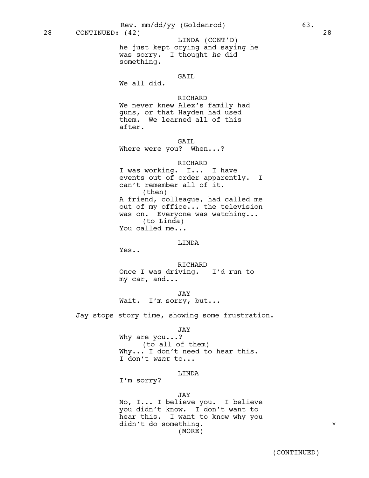he just kept crying and saying he was sorry. I thought *he* did something. LINDA (CONT'D)

# GAIL

We all did.

# RICHARD

We never knew Alex's family had guns, or that Hayden had used them. We learned all of this after.

GAIL

Where were you? When...?

## RICHARD

I was working. I... I have events out of order apparently. I can't remember all of it. (then) A friend, colleague, had called me out of my office... the television was on. Everyone was watching... (to Linda) You called me...

## LINDA

Yes..

RICHARD Once I was driving. I'd run to my car, and...

JAY Wait. I'm sorry, but...

Jay stops story time, showing some frustration.

# JAY

Why are you...? (to all of them) Why... I don't need to hear this. I don't *want* to...

#### LINDA

I'm sorry?

## JAY

No, I... I believe you. I believe you didn't know. I don't want to hear this. I want to know why you didn't do something.  $\star$ (MORE)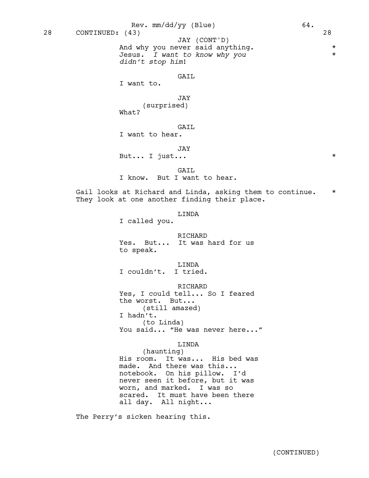#### GAIL

I want to.

JAY (surprised) What?

*didn't stop him*!

GAIL

I want to hear.

JAY

But... I just...  $\star$ 

GAIL I know. But I want to hear.

Gail looks at Richard and Linda, asking them to continue. \* They look at one another finding their place.

## LINDA

I called you.

RICHARD Yes. But... It was hard for us

to speak.

LINDA I couldn't. I tried.

RICHARD Yes, I could tell... So I feared the worst. But... (still amazed) I hadn't. (to Linda) You said... "He was never here..."

LINDA

(haunting) His room. It was... His bed was made. And there was this... notebook. On his pillow. I'd never seen it before, but it was worn, and marked. I was so scared. It must have been there all day. All night...

The Perry's sicken hearing this.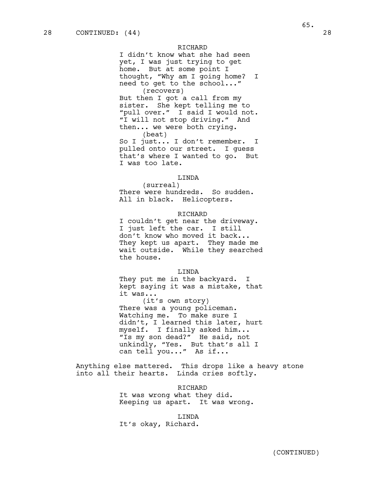I didn't know what she had seen yet, I was just trying to get home. But at some point I thought, "Why am I going home? I need to get to the school..." (recovers) But then I got a call from my sister. She kept telling me to "pull over." I said I would not. "I will not stop driving." And then... we were both crying. (beat) So I just... I don't remember. I

pulled onto our street. I guess that's where I wanted to go. But I was too late.

#### LINDA

(surreal) There were hundreds. So sudden. All in black. Helicopters.

#### RICHARD

I couldn't get near the driveway. I just left the car. I still don't know who moved it back... They kept us apart. They made me wait outside. While they searched the house.

#### LINDA

They put me in the backyard. I kept saying it was a mistake, that it was...

(it's own story) There was a young policeman. Watching me. To make sure I didn't, I learned this later, hurt myself. I finally asked him... "Is my son dead?" He said, not unkindly, "Yes. But that's all I can tell you..." As if...

Anything else mattered. This drops like a heavy stone into all their hearts. Linda cries softly.

> RICHARD It was wrong what they did. Keeping us apart. It was wrong.

LINDA It's okay, Richard.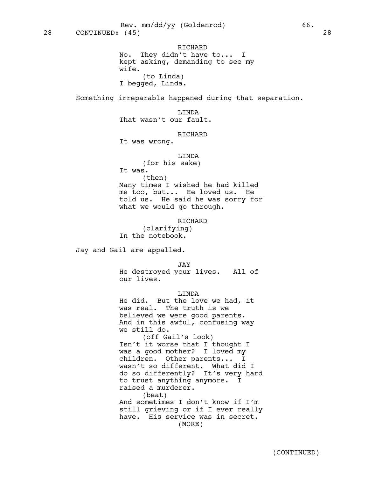RICHARD No. They didn't have to... I kept asking, demanding to see my wife. (to Linda) I begged, Linda.

Something irreparable happened during that separation.

LINDA

That wasn't our fault.

# **RICHARD**

It was wrong.

# LINDA

(for his sake)

It was. (then)

Many times I wished he had killed me too, but... He loved us. He told us. He said he was sorry for what we would go through.

RICHARD

(clarifying) In the notebook.

Jay and Gail are appalled.

JAY

He destroyed your lives. All of our lives.

LINDA

He did. But the love we had, it was real. The truth is we believed we were good parents. And in this awful, confusing way we still do. (off Gail's look) Isn't it worse that I thought I was a good mother? I loved my children. Other parents... I wasn't so different. What did I do so differently? It's very hard to trust anything anymore. I raised a murderer. (beat) And sometimes I don't know if I'm still grieving or if I ever really have. His service was in secret.

(MORE)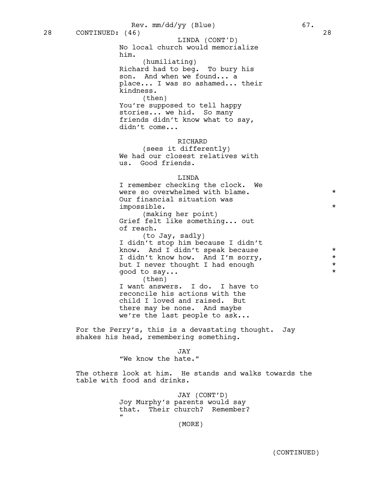No local church would memorialize him. LINDA (CONT'D)

(humiliating) Richard had to beg. To bury his son. And when we found... a place... I was so ashamed... their kindness. (then)

You're supposed to tell happy stories... we hid. So many friends didn't know what to say, didn't come...

# RICHARD

(sees it differently) We had our closest relatives with us. Good friends.

# LINDA

I remember checking the clock. We were so overwhelmed with blame.  $*$ Our financial situation was impossible. \*

(making her point) Grief felt like something... out of reach.

(to Jay, sadly) I didn't stop him because I didn't know. And  $I$  didn't speak because  $*$ I didn't know how. And I'm sorry,  $*$ but I never thought I had enough \* good to say...  $\star$ 

(then) I want answers. I do. I have to reconcile his actions with the child I loved and raised. But there may be none. And maybe we're the last people to ask...

For the Perry's, this is a devastating thought. Jay shakes his head, remembering something.

JAY

"We know the hate."

The others look at him. He stands and walks towards the table with food and drinks.

> JAY (CONT'D) Joy Murphy's parents would say that. Their church? Remember?  $\mathbf{u}$

(MORE)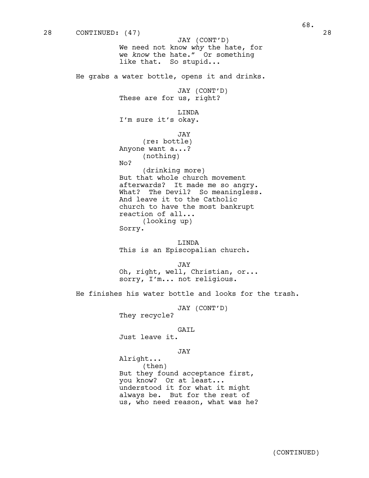We need not know *why* the hate, for we *know* the hate." Or something like that. So stupid... He grabs a water bottle, opens it and drinks. JAY (CONT'D) These are for us, right? LINDA I'm sure it's okay. JAY (re: bottle) Anyone want a...? (nothing) No? (drinking more) But that whole church movement afterwards? It made me so angry. What? The Devil? So meaningless. And leave it to the Catholic church to have the most bankrupt reaction of all... (looking up) Sorry. LINDA This is an Episcopalian church. JAY Oh, right, well, Christian, or... sorry, I'm... not religious. He finishes his water bottle and looks for the trash. JAY (CONT'D) They recycle? GAIL Just leave it. JAY Alright... (then) But they found acceptance first, you know? Or at least... 28 CONTINUED: (47) 28 JAY (CONT'D)

understood it for what it might always be. But for the rest of us, who need reason, what was he? 68.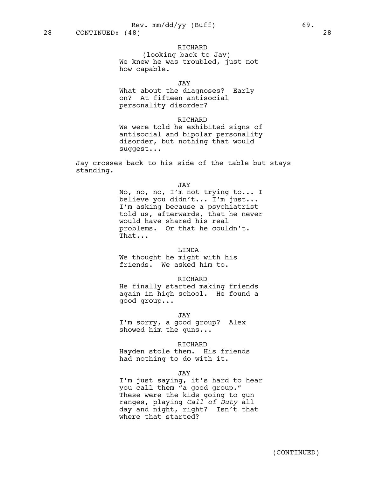(looking back to Jay) We knew he was troubled, just not how capable.

JAY

What about the diagnoses? Early on? At fifteen antisocial personality disorder?

## RICHARD

We were told he exhibited signs of antisocial and bipolar personality disorder, but nothing that would suggest...

Jay crosses back to his side of the table but stays standing.

JAY

No, no, no, I'm not trying to... I believe you didn't... I'm just... I'm asking because a psychiatrist told us, afterwards, that he never would have shared his real problems. Or that he couldn't. That...

#### LINDA

We thought he might with his friends. We asked him to.

## RICHARD

He finally started making friends again in high school. He found a good group...

JAY

I'm sorry, a good group? Alex showed him the guns...

#### RICHARD

Hayden stole them. His friends had nothing to do with it.

#### JAY

I'm just saying, it's hard to hear you call them "a good group." These were the kids going to gun ranges, playing *Call of Duty* all day and night, right? Isn't that where that started?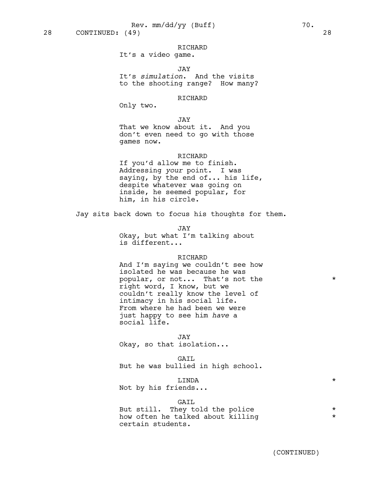It's a video game.

JAY

It's *simulation*. And the visits to the shooting range? How many?

# RICHARD

Only two.

## JAY

That we know about it. And you don't even need to go with those games now.

## RICHARD

If you'd allow me to finish. Addressing *your* point. I was saying, by the end of... his life, despite whatever was going on inside, he seemed popular, for him, in his circle.

Jay sits back down to focus his thoughts for them.

JAY Okay, but what I'm talking about is different...

#### RICHARD

And I'm saying we couldn't see how isolated he was because he was popular, or not... That's not the  $*$ right word, I know, but we couldn't really know the level of intimacy in his social life. From where he had been we were just happy to see him *have* a social life.

JAY

Okay, so that isolation...

GAIL But he was bullied in high school.

LINDA \*

Not by his friends...

#### GAIL

But still. They told the police  $*$ how often he talked about killing \* certain students.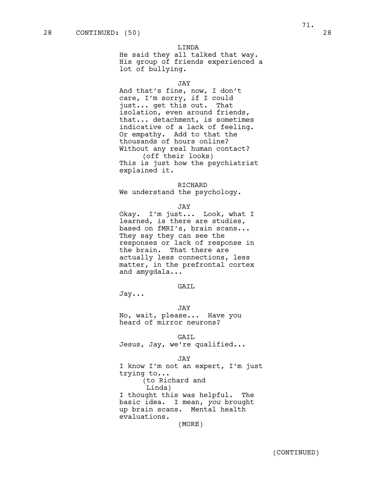He said they all talked that way. His group of friends experienced a lot of bullying.

# JAY

And that's fine, now, I don't care, I'm sorry, if I could just... get this out. That isolation, even around friends, that... detachment, is sometimes indicative of a lack of feeling. Or empathy. Add to that the thousands of hours online? Without any real human contact? (off their looks) This is just how the psychiatrist explained it.

#### RICHARD

We understand the psychology.

#### JAY

Okay. I'm just... Look, what I learned, is there are studies, based on fMRI's, brain scans... They say they can see the responses or lack of response in the brain. That there are actually less connections, less matter, in the prefrontal cortex and amygdala...

# GAIL

Jay...

#### JAY

No, wait, please... Have you heard of mirror neurons?

GAIL

Jesus, Jay, we're qualified...

#### JAY

I know I'm not an expert, I'm just trying to... (to Richard and Linda) I thought this was helpful. The basic idea. I mean, *you* brought up brain scans. Mental health evaluations. (MORE)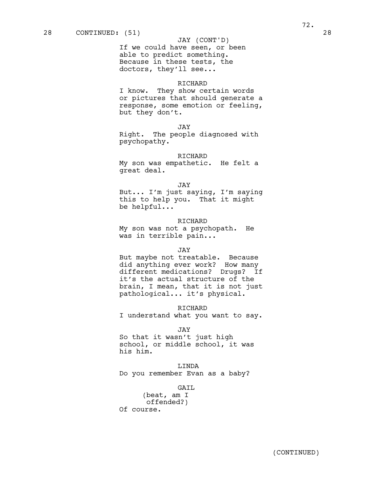## JAY (CONT'D)

If we could have seen, or been able to predict something. Because in these tests, the doctors, they'll see...

# RICHARD

I know. They show certain words or pictures that should generate a response, some emotion or feeling, but they don't.

JAY

Right. The people diagnosed with psychopathy.

#### RICHARD

My son was empathetic. He felt a great deal.

#### JAY

But... I'm just saying, I'm saying this to help you. That it might be helpful...

#### RICHARD

My son was not a psychopath. He was in terrible pain...

#### JAY

But maybe not treatable. Because did anything ever work? How many different medications? Drugs? If it's the actual structure of the brain, I mean, that it is not just pathological... it's physical.

#### RICHARD

I understand what you want to say.

#### JAY

So that it wasn't just high school, or middle school, it was his him.

## LINDA

Do you remember Evan as a baby?

GAIL

(beat, am I offended?) Of course.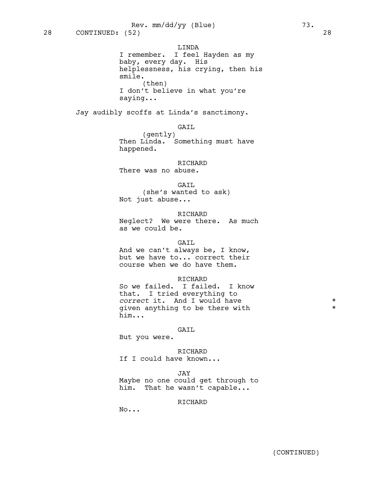LINDA I remember. I feel Hayden as my baby, every day. His helplessness, his crying, then his smile. (then) I don't believe in what you're saying...

Jay audibly scoffs at Linda's sanctimony.

GAIL

(gently) Then Linda. Something must have happened.

RICHARD There was no abuse.

GAIL

(she's wanted to ask) Not just abuse...

RICHARD

Neglect? We were there. As much as we could be.

### GAIL

And we can't always be, I know, but we have to... correct their course when we do have them.

### RICHARD

So we failed. I failed. I know that. I tried everything to correct it. And I would have  $*$ given anything to be there with  $*$ him...

#### GAIL

But you were.

RICHARD If I could have known...

JAY

Maybe no one could get through to him. That he wasn't capable...

# RICHARD

No...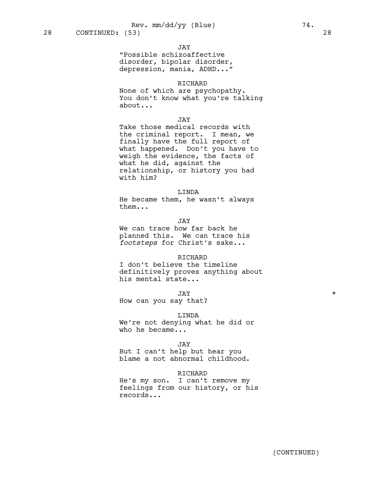"Possible schizoaffective disorder, bipolar disorder, depression, mania, ADHD..."

JAY

# RICHARD

None of which are psychopathy. You don't know what you're talking about...

### JAY

Take those medical records with the criminal report. I mean, we finally have the full report of what happened. Don't you have to weigh the evidence, the facts of what he did, against the relationship, or history you had with him?

# LINDA

He became them, he wasn't always them...

## JAY

We can trace how far back he planned this. We can trace his *footsteps* for Christ's sake...

### **RICHARD**

I don't believe the timeline definitively proves anything about his mental state...

JAY \*

How can you say that?

#### LINDA

We're not denying what he did or who he became...

#### JAY

But I can't help but hear you blame a not abnormal childhood.

#### **RICHARD**

He's my son. I can't remove my feelings from our history, or his records...

(CONTINUED)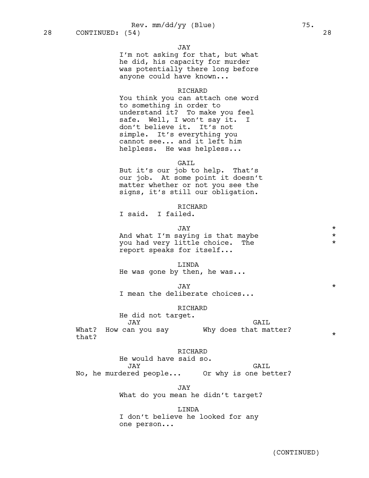#### JAY

I'm not asking for that, but what he did, his capacity for murder was potentially there long before anyone could have known...

#### RICHARD

You think you can attach one word to something in order to understand it? To make you feel safe. Well, I won't say it. I don't believe it. It's not simple. It's everything you cannot see... and it left him helpless. He was helpless...

# GAIL

But it's our job to help. That's our job. At some point it doesn't matter whether or not you see the signs, it's still our obligation.

# RICHARD

I said. I failed.

| TAY.                              | $\star$ |
|-----------------------------------|---------|
| And what I'm saying is that maybe | $\star$ |
| you had very little choice. The   | $\star$ |
| report speaks for itself          |         |

#### LINDA

He was gone by then, he was...

JAY \* I mean the deliberate choices...

RICHARD

He did not target.

JAY What? How can you say \* Why does that matter? \* that? GAIL

# RICHARD

He would have said so. JAY No, he murdered people... Or why is one better? GAIL

> JAY What do you mean he didn't target?

LINDA I don't believe he looked for any one person...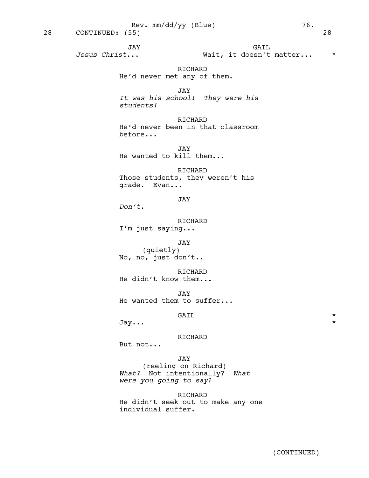JAY *Jesus Christ*... GAIL Wait, it doesn't matter... \* RICHARD He'd never met any of them. JAY *It was his school! They were his students!*  RICHARD He'd never been in that classroom before... JAY He wanted to kill them... RICHARD Those students, they weren't his grade. Evan... JAY *Don't*. RICHARD I'm just saying... JAY (quietly) No, no, just don't.. RICHARD He didn't know them... JAY He wanted them to suffer... GAIL \* Jay... \* RICHARD But not... JAY (reeling on Richard) 28 CONTINUED: (55) 28

*What?* Not intentionally? *What were you going to say*?

# RICHARD

He didn't seek out to make any one individual suffer.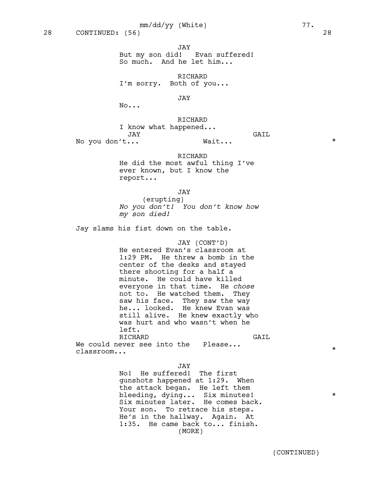JAY

But my son did! Evan suffered! So much. And he let him...

RICHARD I'm sorry. Both of you...

JAY

No...

RICHARD

I know what happened... JAY No you don't...  $GAIL$ Wait...  $\star$ 

RICHARD

He did the most awful thing I've ever known, but I know the report...

JAY

(erupting) *No you don't! You don't know how my son died!*

Jay slams his fist down on the table.

JAY (CONT'D) He entered Evan's classroom at 1:29 PM. He threw a bomb in the center of the desks and stayed there shooting for a half a minute. He could have killed everyone in that time. He *chose* not to. He watched them. They saw his face. They saw the way he... looked. He knew Evan was still alive. He knew exactly who was hurt and who wasn't when he left. **RICHARD** We could never see into the Please...  $GAIL$ 

classroom...

JAY

No! He suffered! The first gunshots happened at 1:29. When the attack began. He left them bleeding, dying... Six minutes! \* Six minutes later. He comes back. Your son. To retrace his steps. He's in the hallway. Again. At 1:35. He came back to... finish. (MORE)

\*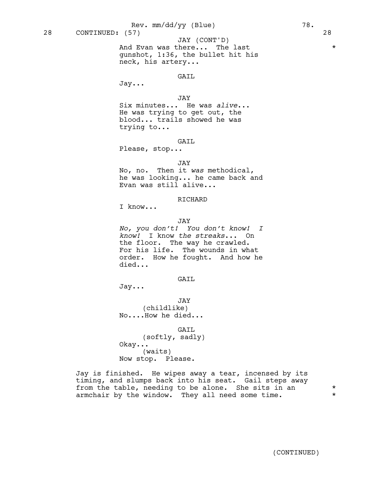And Evan was there... The last \*\*\* gunshot, 1:36, the bullet hit his neck, his artery... JAY (CONT'D)

#### GAIL

Jay...

# JAY

Six minutes... He was *alive*... He was trying to get out, the blood... trails showed he was trying to...

# GAIL

Please, stop...

## JAY

No, no. Then it *was* methodical, he was looking... he came back and Evan was still alive...

# RICHARD

I know...

#### JAY

*No, you don't! You don't know! I know!* I know *the streaks*... On the floor. The way he crawled. For his life. The wounds in what order. How he fought. And how he died...

# GAIL

Jay...

JAY (childlike) No....How he died...

GAIL (softly, sadly) Okay... (waits) Now stop. Please.

Jay is finished. He wipes away a tear, incensed by its timing, and slumps back into his seat. Gail steps away from the table, needing to be alone. She sits in an  $*$ <br>armchair by the window They all need some time armchair by the window. They all need some time.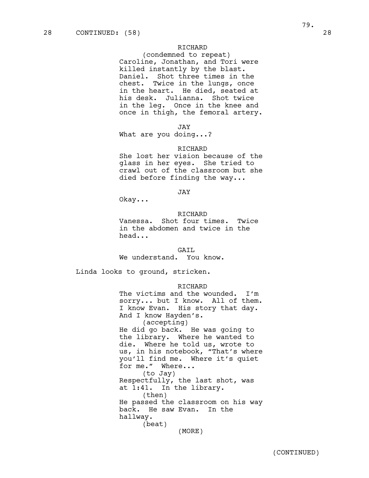# RICHARD

(condemned to repeat) Caroline, Jonathan, and Tori were killed instantly by the blast. Daniel. Shot three times in the chest. Twice in the lungs, once in the heart. He died, seated at his desk. Julianna. Shot twice in the leg. Once in the knee and once in thigh, the femoral artery.

JAY

What are you doing...?

#### RICHARD

She lost her vision because of the glass in her eyes. She tried to crawl out of the classroom but she died before finding the way...

JAY

Okay...

# RICHARD

Vanessa. Shot four times. Twice in the abdomen and twice in the head...

#### GAIL

We understand. You know.

Linda looks to ground, stricken.

### RICHARD

The victims and the wounded. I'm sorry... but I know. All of them. I know Evan. His story that day. And I know Hayden's. (accepting) He did go back. He was going to the library. Where he wanted to die. Where he told us, wrote to us, in his notebook, "That's where you'll find me. Where it's quiet for me." Where... (to Jay) Respectfully, the last shot, was at 1:41. In the library. (then) He passed the classroom on his way back. He saw Evan. In the hallway. (beat) (MORE)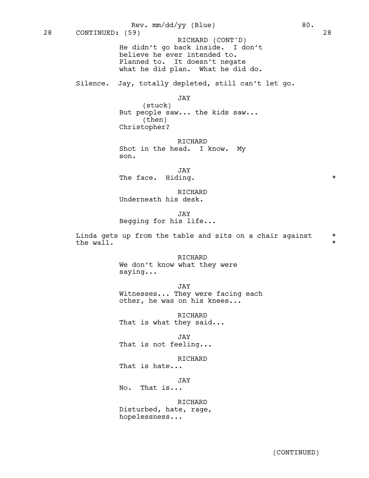He didn't go back inside. I don't believe he ever intended to. Planned to. It doesn't negate what he did plan. What he did do. Silence. Jay, totally depleted, still can't let go. JAY (stuck) But people saw... the kids saw... (then) Christopher? RICHARD Shot in the head. I know. My son. JAY The face. Hiding.  $\star$ RICHARD Underneath his desk. JAY 28 CONTINUED: (59) 28 RICHARD (CONT'D) Rev. mm/dd/yy (Blue) 80.

Begging for his life...

Linda gets up from the table and sits on a chair against  $*$ <br>the wall. the wall.

> RICHARD We don't know what they were saying...

JAY Witnesses... They were facing each other, he was on his knees...

RICHARD That is what they said...

JAY That is not feeling...

RICHARD That is hate...

JAY No. That is...

RICHARD Disturbed, hate, rage, hopelessness...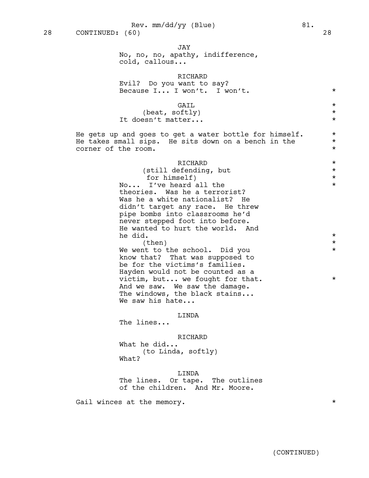JAY

No, no, no, apathy, indifference, cold, callous...

|                     | RICHARD<br>Evil? Do you want to say?                                                                                                                                                                                                                                                       |                                            |
|---------------------|--------------------------------------------------------------------------------------------------------------------------------------------------------------------------------------------------------------------------------------------------------------------------------------------|--------------------------------------------|
|                     | Because I I won't. I won't.                                                                                                                                                                                                                                                                | $^\star$                                   |
|                     | GAIL<br>(beat, softly)<br>It doesn't matter                                                                                                                                                                                                                                                | $\star$<br>$^\star$<br>$^\star$            |
| corner of the room. | He gets up and goes to get a water bottle for himself. $\,$<br>He takes small sips. He sits down on a bench in the                                                                                                                                                                         | $\star$<br>$\star$<br>$^\star$             |
|                     | RICHARD<br>(still defending, but<br>for himself)<br>No I've heard all the<br>theories. Was he a terrorist?<br>Was he a white nationalist? He<br>didn't target any race. He threw<br>pipe bombs into classrooms he'd<br>never stepped foot into before.<br>He wanted to hurt the world. And | $\star$<br>$\star$<br>$^\star$<br>$^\star$ |
|                     | he did.<br>(then)                                                                                                                                                                                                                                                                          | $^\star$<br>$^\star$                       |
|                     | We went to the school. Did you<br>know that? That was supposed to<br>be for the victims's families.<br>Hayden would not be counted as a                                                                                                                                                    | $^\star$                                   |
|                     | victim, but we fought for that.<br>And we saw. We saw the damage.<br>The windows, the black stains<br>We saw his hate                                                                                                                                                                      | $^\star$                                   |
|                     | LINDA<br>The lines                                                                                                                                                                                                                                                                         |                                            |
|                     | RICHARD<br>What he did<br>(to Linda, softly)<br>What?                                                                                                                                                                                                                                      |                                            |
|                     | LINDA<br>The lines. Or tape. The outlines<br>of the children. And Mr. Moore.                                                                                                                                                                                                               |                                            |

Gail winces at the memory.

(CONTINUED)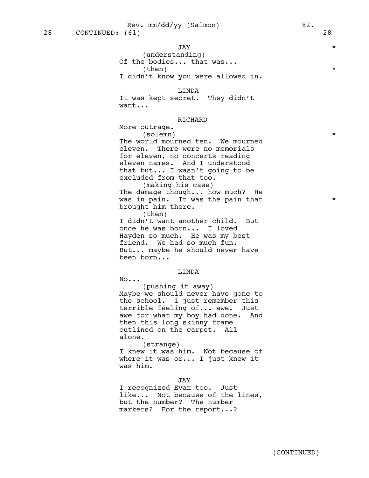# JAY \*

(understanding) Of the bodies... that was...  $\times$  (then)  $*$ 

I didn't know you were allowed in.

## LINDA

It was kept secret. They didn't want...

# RICHARD

More outrage. (solemn) \*

The world mourned ten. We mourned eleven. There were no memorials for eleven, no concerts reading eleven names. And I understood that but... I wasn't going to be excluded from that too. (making his case)

The damage though... how much? He was in pain. It was the pain that  $*$ brought him there.

(then) I didn't want another child. But once he was born... I loved Hayden so much. He was my best friend. We had so much fun. But... maybe he should never have been born...

### LINDA

No...

(pushing it away) Maybe we should never have gone to the school. I just remember this terrible feeling of... awe. Just awe for what my boy had done. And then this long skinny frame outlined on the carpet. All alone.

(strange) I knew it was him. Not because of where it was or... I just knew it was him.

JAY

I recognized Evan too. Just like... Not because of the lines, but the number? The number markers? For the report...?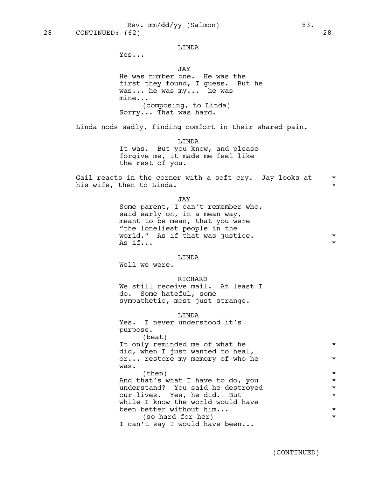### LINDA

Yes...

JAY

He was number one. He was the first they found, I guess. But he was... he was my... he was mine... (composing, to Linda) Sorry... That was hard.

Linda nods sadly, finding comfort in their shared pain.

LINDA It was. But you know, and please forgive me, it made me feel like the rest of you.

Gail reacts in the corner with a soft cry. Jay looks at  $*$ his wife, then to Linda.

JAY

Some parent, I can't remember who, said early on, in a mean way, meant to be mean, that you were "the loneliest people in the world." As if that was justice.  $*$ As  $if...$ 

### LINDA

Well we were.

### RICHARD

We still receive mail. At least I do. Some hateful, some sympathetic, most just strange.

#### LINDA

| Yes. I never understood it's      |         |
|-----------------------------------|---------|
| purpose.                          |         |
| (beat)                            |         |
| It only reminded me of what he    | $\star$ |
| did, when I just wanted to heal,  |         |
| or restore my memory of who he    | $\star$ |
| was.                              |         |
| (then)                            | $\star$ |
| And that's what I have to do, you | $\star$ |
| understand? You said he destroyed | $\star$ |
| our lives. Yes, he did. But       | $\star$ |
| while I know the world would have |         |
| been better without him           | $\star$ |
| (so hard for her)                 | $\star$ |
| I can't say I would have been     |         |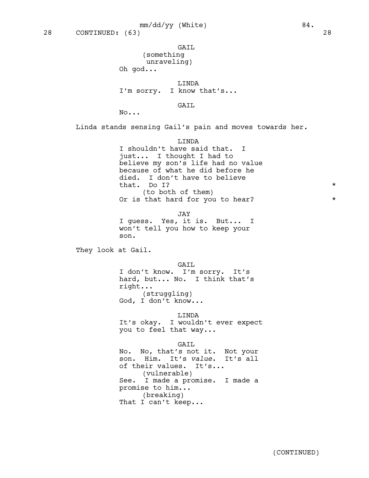# GAIL

(something unraveling)

Oh god...

LINDA

I'm sorry. I know that's...

# GAIL

No...

Linda stands sensing Gail's pain and moves towards her.

### LINDA

I shouldn't have said that. I just... I thought I had to believe my son's life had no value because of what he did before he died. I don't have to believe that. Do I?  $*$ (to both of them) Or is that hard for you to hear?

JAY I guess. Yes, it is. But... I won't tell you how to keep your son.

They look at Gail.

# GAIL

I don't know. I'm sorry. It's hard, but... No. I think that's right... (struggling) God, I don't know...

# LINDA

It's okay. I wouldn't ever expect you to feel that way...

# GAIL

No. No, that's not it. Not your son. Him. It's *value*. It's all of their values. It's... (vulnerable) See. I made a promise. I made a promise to him... (breaking) That I can't keep...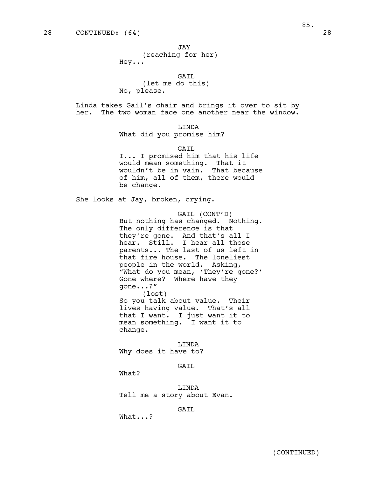JAY

(reaching for her) Hey...

GAIL (let me do this)

No, please.

Linda takes Gail's chair and brings it over to sit by her. The two woman face one another near the window.

LINDA

What did you promise him?

GAIL

I... I promised him that his life would mean something. That it wouldn't be in vain. That because of him, all of them, there would be change.

She looks at Jay, broken, crying.

GAIL (CONT'D) But nothing has changed. Nothing. The only difference is that they're gone. And that's all I hear. Still. I hear all those parents... The last of us left in that fire house. The loneliest people in the world. Asking, "What do you mean, 'They're gone?' Gone where? Where have they gone...?" (lost) So you talk about value. Their

lives having value. That's all that I want. I just want it to mean something. I want it to change.

LINDA Why does it have to?

GAIL

What?

LINDA Tell me a story about Evan.

GAIL

What...?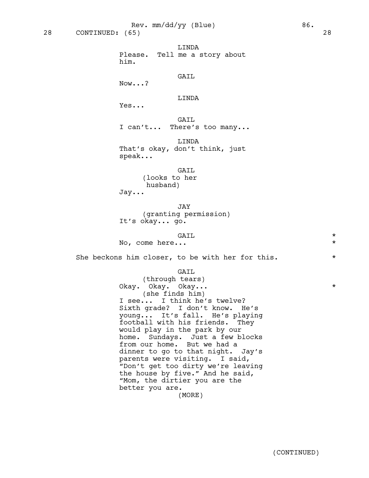LINDA Please. Tell me a story about him.

GAIL

Now...?

LINDA

Yes...

GAIL I can't... There's too many...

LINDA That's okay, don't think, just speak...

# GAIL

(looks to her husband)

Jay...

JAY (granting permission) It's okay... go.

GAIL \* No, come here...  $\star$ 

She beckons him closer, to be with her for this.  $*$ 

# GAIL

(through tears) Okay. Okay. Okay... \* (she finds him) I see... I think he's twelve? Sixth grade? I don't know. He's young... It's fall. He's playing football with his friends. They would play in the park by our home. Sundays. Just a few blocks from our home. But we had a dinner to go to that night. Jay's parents were visiting. I said, "Don't get too dirty we're leaving the house by five." And he said, "Mom, the dirtier you are the better you are. (MORE)

(CONTINUED)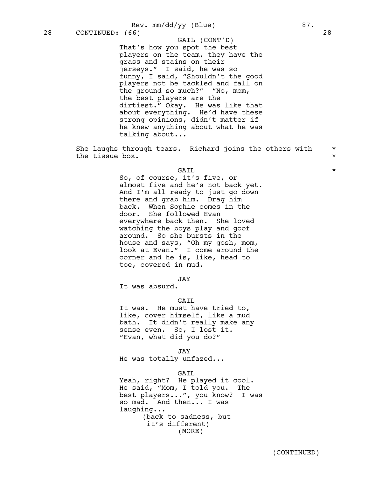Rev. mm/dd/yy (Blue) 87.

That's how you spot the best players on the team, they have the grass and stains on their jerseys." I said, he was so funny, I said, "Shouldn't the good players not be tackled and fall on the ground so much?" "No, mom, the best players are the dirtiest." Okay. He was like that about everything. He'd have these strong opinions, didn't matter if he knew anything about what he was talking about... GAIL (CONT'D)

She laughs through tears. Richard joins the others with  $*$ <br>the tiggue boy the tissue box.

# GAIL \*

So, of course, it's five, or almost five and he's not back yet. And I'm all ready to just go down there and grab him. Drag him back. When Sophie comes in the door. She followed Evan everywhere back then. She loved watching the boys play and goof around. So she bursts in the house and says, "Oh my gosh, mom, look at Evan." I come around the corner and he is, like, head to toe, covered in mud.

JAY

It was absurd.

# GAIL

It was. He must have tried to, like, cover himself, like a mud bath. It didn't really make any sense even. So, I lost it. "Evan, what did you do?"

JAY

He was totally unfazed...

GATT.

Yeah, right? He played it cool. He said, "Mom, I told you. The best players...", you know? I was so mad. And then... I was laughing... (back to sadness, but it's different) (MORE)

(CONTINUED)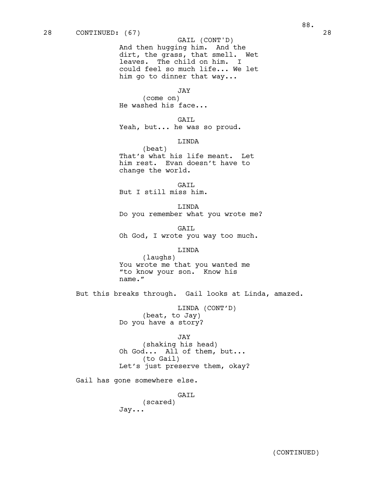# GAIL (CONT'D)

And then hugging him. And the dirt, the grass, that smell. Wet leaves. The child on him. I could feel so much life... We let him go to dinner that way...

#### JAY

(come on) He washed his face...

# GAIL

Yeah, but... he was so proud.

# LINDA

(beat) That's what his life meant. Let him rest. Evan doesn't have to change the world.

GAIL But I still miss him.

LINDA Do you remember what you wrote me?

GAIL Oh God, I wrote you way too much.

# LINDA

(laughs) You wrote me that you wanted me "to know your son. Know his name."

But this breaks through. Gail looks at Linda, amazed.

LINDA (CONT'D) (beat, to Jay) Do you have a story?

#### JAY

(shaking his head) Oh God... All of them, but... (to Gail) Let's just preserve them, okay?

Gail has gone somewhere else.

# GAIL (scared)

Jay...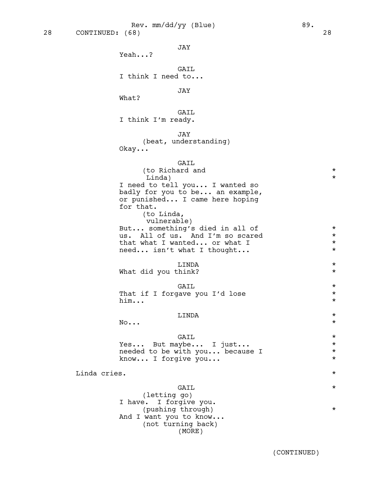Rev. mm/dd/yy (Blue) 89.

GAIL I think I need to...

JAY

What?

Yeah...?

GAIL I think I'm ready.

JAY

(beat, understanding) Okay...

# GAIL

|              | (to Richard and<br>Linda)                                                                                                                     | $\star$<br>$\star$ |
|--------------|-----------------------------------------------------------------------------------------------------------------------------------------------|--------------------|
|              | I need to tell you I wanted so<br>badly for you to be an example,<br>or punished I came here hoping<br>for that.<br>(to Linda,<br>vulnerable) |                    |
|              | But something's died in all of                                                                                                                | $\star$            |
|              | us. All of us. And I'm so scared                                                                                                              | $\star$            |
|              | that what I wanted or what I<br>need isn't what I thought                                                                                     | $\star$<br>$\star$ |
|              | LINDA<br>What did you think?                                                                                                                  | $\star$<br>$\star$ |
|              | GAIL                                                                                                                                          | $\star$            |
|              | That if I forgave you I'd lose                                                                                                                | $\star$            |
|              | him                                                                                                                                           | $\star$            |
|              | LINDA                                                                                                                                         | $^\star$           |
|              | No                                                                                                                                            | $\star$            |
|              | GAIL                                                                                                                                          | $\star$            |
|              | Yes But maybe I just                                                                                                                          | $\star$            |
|              | needed to be with you because I                                                                                                               | $\star$<br>$\star$ |
|              | know I forgive you                                                                                                                            |                    |
| Linda cries. |                                                                                                                                               | $\star$            |
|              | GAIL<br>(letting go)<br>I have. I forgive you.                                                                                                | $\star$<br>$\star$ |
|              | (pushing through)<br>And I want you to know<br>(not turning back)                                                                             |                    |
|              |                                                                                                                                               |                    |

(MORE)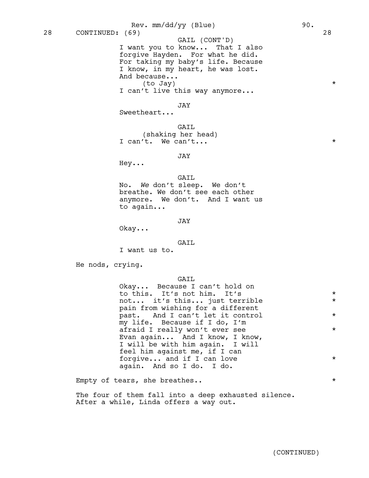I want you to know... That I also forgive Hayden. For what he did. For taking my baby's life. Because I know, in my heart, he was lost. And because... (to Jay) \* I can't live this way anymore... JAY 28 CONTINUED: (69) 28 GAIL (CONT'D) Rev. mm/dd/yy (Blue) 90.

Sweetheart...

GAIL (shaking her head) I can't. We can't...

JAY

Hey...

GAIL

No. *We* don't sleep. We don't breathe. We don't see each other anymore. We don't. And I want us to again...

JAY

Okay...

#### GAIL

I want us to.

He nods, crying.

#### GAIL

Okay... Because I can't hold on to this. It's not him. It's  $*$ not... it's this... just terrible \* pain from wishing for a different past. And I can't let it control \* my life. Because if I do, I'm afraid I really won't ever see  $*$ Evan again... And I know, I know, I will be with him again. I will feel him against me, if I can forgive... and if I can love  $*$ again. And so I do. I do.

Empty of tears, she breathes..  $*$ 

The four of them fall into a deep exhausted silence. After a while, Linda offers a way out.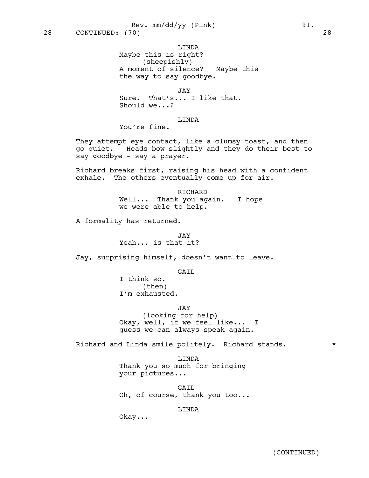LINDA

Maybe this is right? (sheepishly) A moment of silence? Maybe this the way to say goodbye.

JAY Sure. That's... I like that. Should we...?

# LINDA

You're fine.

They attempt eye contact, like a clumsy toast, and then go quiet. Heads bow slightly and they do their best to say goodbye - say a prayer.

Richard breaks first, raising his head with a confident exhale. The others eventually come up for air.

> RICHARD Well... Thank you again. I hope we were able to help.

A formality has returned.

JAY Yeah... is that it?

Jay, surprising himself, doesn't want to leave.

GAIL

I think so. (then) I'm exhausted.

JAY

(looking for help) Okay, well, if we feel like... I guess we can always speak again.

Richard and Linda smile politely. Richard stands.  $*$ 

LINDA Thank you so much for bringing your pictures...

GAIL Oh, of course, thank you too...

# LINDA

Okay...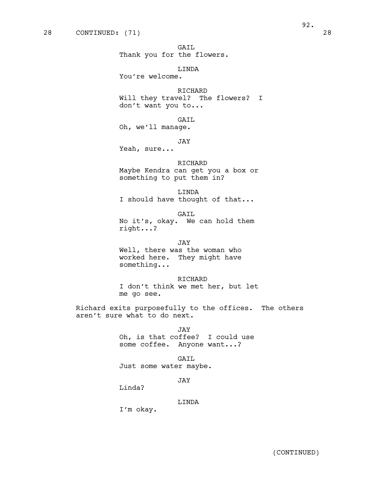GAIL Thank you for the flowers.

LINDA You're welcome.

RICHARD Will they travel? The flowers? I don't want you to...

GAIL Oh, we'll manage.

JAY

Yeah, sure...

# RICHARD

Maybe Kendra can get you a box or something to put them in?

LINDA I should have thought of that...

GAIL No it's, okay. We can hold them right...?

JAY Well, there was the woman who worked here. They might have something...

RICHARD I don't think we met her, but let me go see.

Richard exits purposefully to the offices. The others aren't sure what to do next.

> JAY Oh, is that coffee? I could use some coffee. Anyone want...?

GAIL Just some water maybe.

JAY

Linda?

LINDA

I'm okay.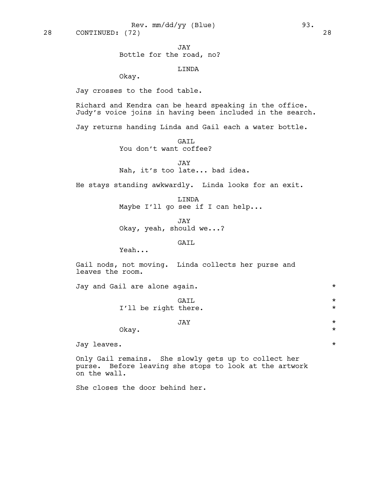JAY Bottle for the road, no?

LINDA

Okay.

Jay crosses to the food table.

Richard and Kendra can be heard speaking in the office. Judy's voice joins in having been included in the search.

Jay returns handing Linda and Gail each a water bottle.

GAIL You don't want coffee?

JAY Nah, it's too late... bad idea.

He stays standing awkwardly. Linda looks for an exit.

LINDA Maybe I'll go see if I can help...

JAY Okay, yeah, should we...?

# GAIL

Yeah...

Gail nods, not moving. Linda collects her purse and leaves the room.

Jay and Gail are alone again. \*

GAIL \* I'll be right there.

# JAY \*

Okay.  $\star$ 

Jay leaves. \*

Only Gail remains. She slowly gets up to collect her purse. Before leaving she stops to look at the artwork on the wall.

She closes the door behind her.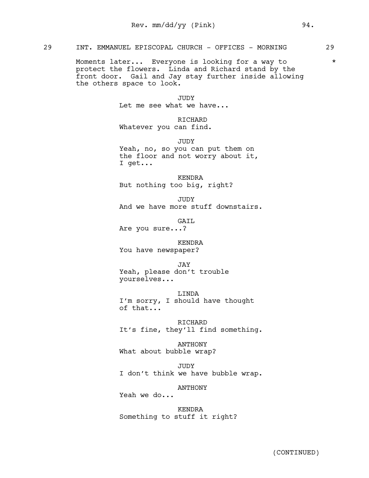# 29 INT. EMMANUEL EPISCOPAL CHURCH - OFFICES - MORNING 29

Moments later... Everyone is looking for a way to  $*$ protect the flowers. Linda and Richard stand by the front door. Gail and Jay stay further inside allowing the others space to look.

> **JUDY** Let me see what we have...

# RICHARD

Whatever you can find.

JUDY

Yeah, no, so you can put them on the floor and not worry about it, I get...

KENDRA But nothing too big, right?

JUDY And we have more stuff downstairs.

GAIL Are you sure...?

KENDRA

You have newspaper?

JAY

Yeah, please don't trouble yourselves...

LINDA

I'm sorry, I should have thought of that...

RICHARD It's fine, they'll find something.

ANTHONY What about bubble wrap?

JUDY I don't think we have bubble wrap.

ANTHONY

Yeah we do...

KENDRA Something to stuff it right?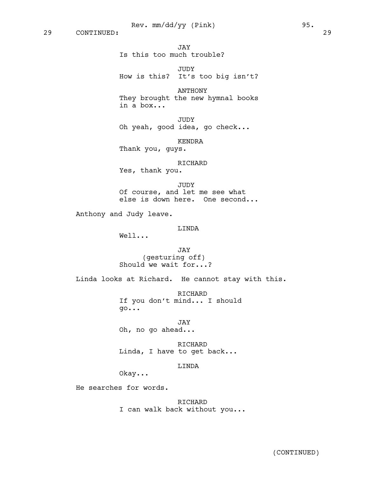JAY Is this too much trouble?

JUDY How is this? It's too big isn't?

ANTHONY They brought the new hymnal books in a box...

JUDY Oh yeah, good idea, go check...

KENDRA Thank you, guys.

RICHARD Yes, thank you.

JUDY Of course, and let me see what else is down here. One second...

Anthony and Judy leave.

# LINDA

Well...

JAY (gesturing off) Should we wait for...?

Linda looks at Richard. He cannot stay with this.

RICHARD If you don't mind... I should go...

JAY Oh, no go ahead...

RICHARD Linda, I have to get back...

## LINDA

Okay...

He searches for words.

RICHARD I can walk back without you...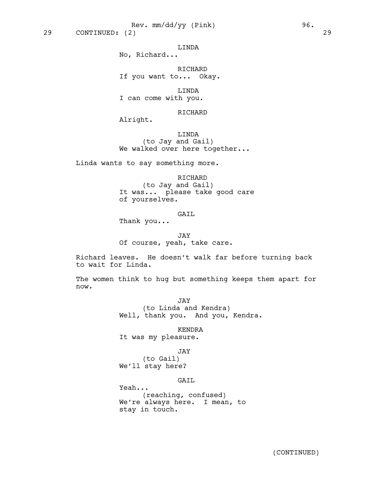LINDA

No, Richard...

RICHARD If you want to... Okay.

LINDA I can come with you.

RICHARD

Alright.

LINDA (to Jay and Gail) We walked over here together...

Linda wants to say something more.

RICHARD (to Jay and Gail) It was... please take good care of yourselves.

# GAIL

Thank you...

JAY Of course, yeah, take care.

Richard leaves. He doesn't walk far before turning back to wait for Linda.

The women think to hug but something keeps them apart for now.

> JAY (to Linda and Kendra) Well, thank you. And you, Kendra.

> > KENDRA

It was my pleasure.

# JAY

(to Gail) We'll stay here?

# GAIL

Yeah... (reaching, confused) We're always here. I mean, to stay in touch.

(CONTINUED)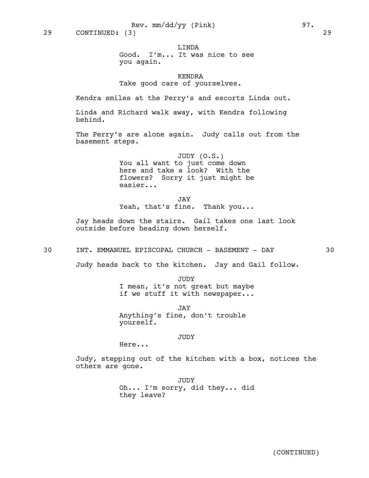LINDA

Good. I'm... It was nice to see you again.

KENDRA Take good care of yourselves.

Kendra smiles at the Perry's and escorts Linda out.

Linda and Richard walk away, with Kendra following behind.

The Perry's are alone again. Judy calls out from the basement steps.

> JUDY (O.S.) You all want to just come down here and take a look? With the flowers? Sorry it just might be easier...

> JAY Yeah, that's fine. Thank you...

Jay heads down the stairs. Gail takes one last look outside before heading down herself.

30 INT. EMMANUEL EPISCOPAL CHURCH - BASEMENT - DAY 30

Judy heads back to the kitchen. Jay and Gail follow.

JUDY I mean, it's not great but maybe if we stuff it with newspaper...

JAY Anything's fine, don't trouble yourself.

JUDY

Here...

Judy, stepping out of the kitchen with a box, notices the others are gone.

> JUDY Oh... I'm sorry, did they... did they leave?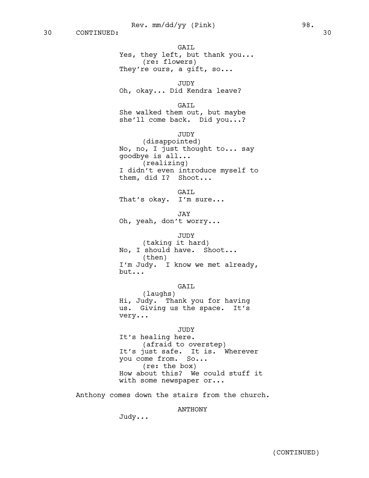GAIL Yes, they left, but thank you... (re: flowers) They're ours, a gift, so...

JUDY Oh, okay... Did Kendra leave?

GAIL She walked them out, but maybe she'll come back. Did you...?

**JUDY** 

(disappointed) No, no, I just thought to... say goodbye is all... (realizing) I didn't even introduce myself to them, did I? Shoot...

GAIL

That's okay. I'm sure...

JAY

Oh, yeah, don't worry...

JUDY

(taking it hard) No, I should have. Shoot... (then) I'm Judy. I know we met already, but...

GAIL

(laughs) Hi, Judy. Thank you for having us. Giving us the space. It's very...

#### JUDY

It's healing here. (afraid to overstep) It's just safe. It is. Wherever you come from. So... (re: the box) How about this? We could stuff it with some newspaper or...

Anthony comes down the stairs from the church.

#### ANTHONY

Judy...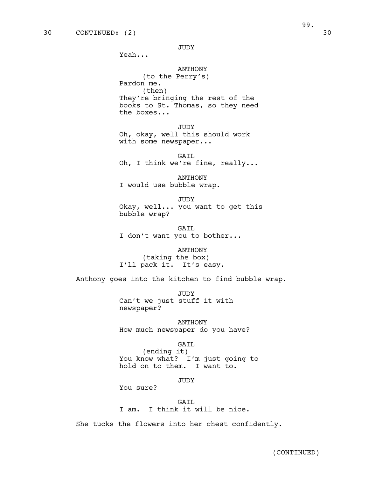Yeah...

# ANTHONY

(to the Perry's) Pardon me. (then) They're bringing the rest of the books to St. Thomas, so they need the boxes...

JUDY Oh, okay, well this should work with some newspaper...

GAIL Oh, I think we're fine, really...

ANTHONY I would use bubble wrap.

JUDY Okay, well... you want to get this bubble wrap?

GAIL I don't want you to bother...

ANTHONY (taking the box) I'll pack it. It's easy.

Anthony goes into the kitchen to find bubble wrap.

**JUDY** Can't we just stuff it with newspaper?

ANTHONY How much newspaper do you have?

GAIL

(ending it) You know what? I'm just going to hold on to them. I want to.

JUDY

You sure?

GAIL I am. I think it will be nice.

She tucks the flowers into her chest confidently.

99.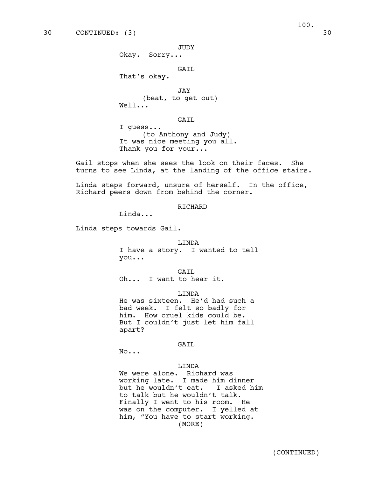JUDY

Okay. Sorry...

# GAIL

That's okay.

JAY (beat, to get out) Well...

GAIL

I guess... (to Anthony and Judy) It was nice meeting you all. Thank you for your...

Gail stops when she sees the look on their faces. She turns to see Linda, at the landing of the office stairs.

Linda steps forward, unsure of herself. In the office, Richard peers down from behind the corner.

RICHARD

Linda...

Linda steps towards Gail.

### LINDA

I have a story. I wanted to tell you...

GAIL Oh... I want to hear it.

LINDA

He was sixteen. He'd had such a bad week. I felt so badly for him. How cruel kids could be. But I couldn't just let him fall apart?

#### GAIL

No...

#### LINDA

We were alone. Richard was working late. I made him dinner but he wouldn't eat. I asked him to talk but he wouldn't talk. Finally I went to his room. He was on the computer. I yelled at him, "You have to start working. (MORE)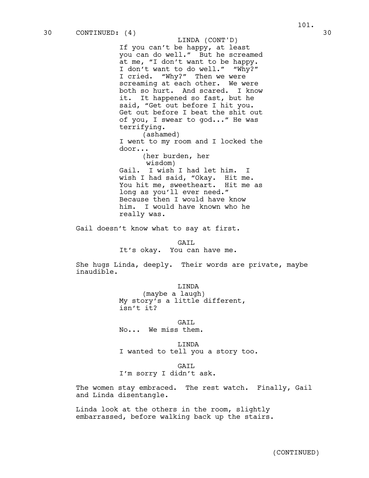If you can't be happy, at least you can do well." But he screamed at me, "I don't want to be happy. I don't want to do well." "Why?" I cried. "Why?" Then we were screaming at each other. We were both so hurt. And scared. I know it. It happened so fast, but he said, "Get out before I hit you. Get out before I beat the shit out of you, I swear to god..." He was terrifying. LINDA (CONT'D)

(ashamed) I went to my room and I locked the door...

(her burden, her wisdom) Gail. I wish I had let him. I wish I had said, "Okay. Hit me. You hit me, sweetheart. Hit me as long as you'll ever need." Because then I would have know him. I would have known who he really was.

Gail doesn't know what to say at first.

#### GATT.

It's okay. You can have me.

She hugs Linda, deeply. Their words are private, maybe inaudible.

LINDA

(maybe a laugh) My story's a little different, isn't it?

GAIL No... We miss them.

LINDA I wanted to tell you a story too.

#### GATT.

I'm sorry I didn't ask.

The women stay embraced. The rest watch. Finally, Gail and Linda disentangle.

Linda look at the others in the room, slightly embarrassed, before walking back up the stairs.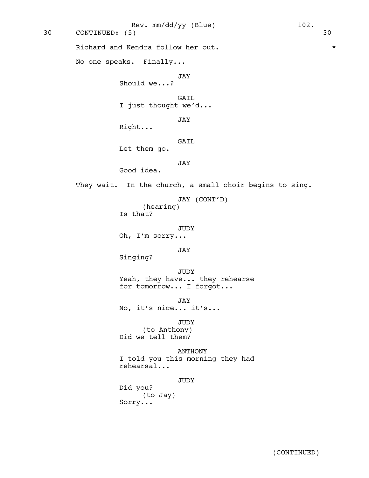Richard and Kendra follow her out.  $*$ No one speaks. Finally... JAY Should we...? GAIL I just thought we'd... JAY Right... GAIL Let them go. JAY Good idea. They wait. In the church, a small choir begins to sing. JAY (CONT'D) (hearing) Is that? JUDY Oh, I'm sorry... JAY Singing? JUDY Yeah, they have... they rehearse for tomorrow... I forgot... JAY No, it's nice... it's... JUDY (to Anthony) Did we tell them? ANTHONY I told you this morning they had rehearsal... JUDY Did you? (to Jay) Sorry... 30 CONTINUED: (5) 30 Rev. mm/dd/yy (Blue) 102.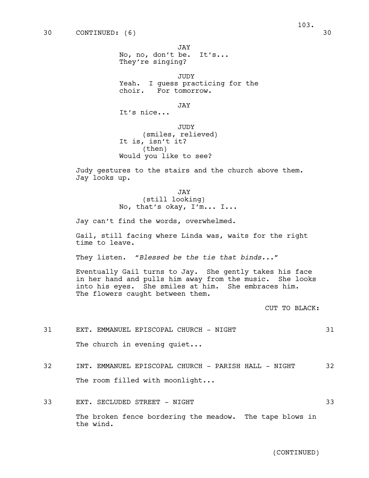JAY No, no, don't be. It's... They're singing?

JUDY Yeah. I guess practicing for the choir. For tomorrow.

JAY

It's nice...

JUDY (smiles, relieved) It is, isn't it? (then) Would you like to see?

Judy gestures to the stairs and the church above them. Jay looks up.

> JAY (still looking) No, that's okay, I'm... I...

Jay can't find the words, overwhelmed.

Gail, still facing where Linda was, waits for the right time to leave.

They listen. "*Blessed be the tie that binds...*"

Eventually Gail turns to Jay. She gently takes his face in her hand and pulls him away from the music. She looks into his eyes. She smiles at him. She embraces him. The flowers caught between them.

CUT TO BLACK:

31 EXT. EMMANUEL EPISCOPAL CHURCH - NIGHT 31 The church in evening quiet...

- 32 INT. EMMANUEL EPISCOPAL CHURCH PARISH HALL NIGHT 32 The room filled with moonlight...
- 33 EXT. SECLUDED STREET NIGHT 33 The broken fence bordering the meadow. The tape blows in the wind.

(CONTINUED)